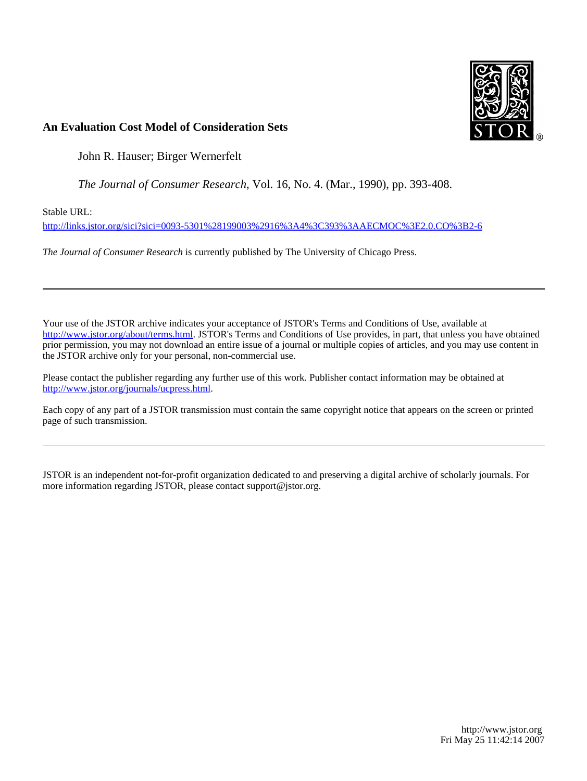

## **An Evaluation Cost Model of Consideration Sets**

John R. Hauser; Birger Wernerfelt

*The Journal of Consumer Research*, Vol. 16, No. 4. (Mar., 1990), pp. 393-408.

Stable URL:

<http://links.jstor.org/sici?sici=0093-5301%28199003%2916%3A4%3C393%3AAECMOC%3E2.0.CO%3B2-6>

*The Journal of Consumer Research* is currently published by The University of Chicago Press.

Your use of the JSTOR archive indicates your acceptance of JSTOR's Terms and Conditions of Use, available at [http://www.jstor.org/about/terms.html.](http://www.jstor.org/about/terms.html) JSTOR's Terms and Conditions of Use provides, in part, that unless you have obtained prior permission, you may not download an entire issue of a journal or multiple copies of articles, and you may use content in the JSTOR archive only for your personal, non-commercial use.

Please contact the publisher regarding any further use of this work. Publisher contact information may be obtained at <http://www.jstor.org/journals/ucpress.html>.

Each copy of any part of a JSTOR transmission must contain the same copyright notice that appears on the screen or printed page of such transmission.

JSTOR is an independent not-for-profit organization dedicated to and preserving a digital archive of scholarly journals. For more information regarding JSTOR, please contact support@jstor.org.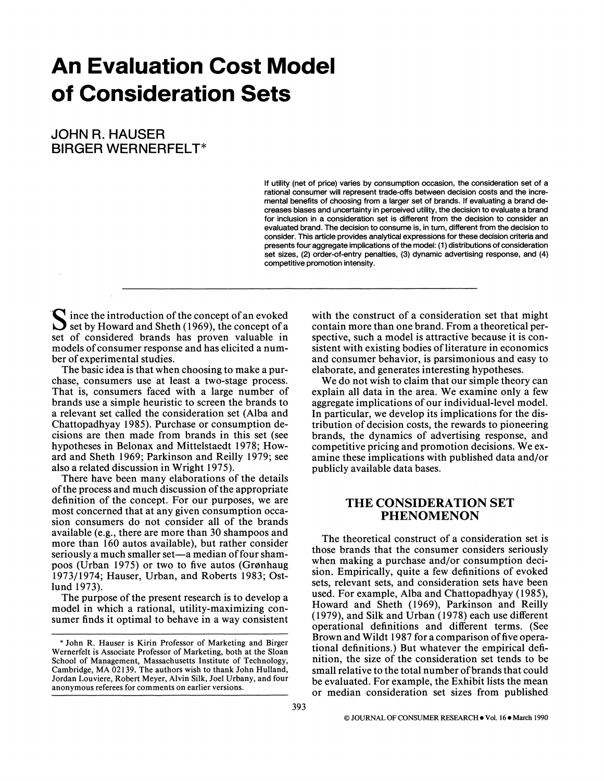# **An Evaluation Cost Model of Consideration Sets**

JOHN R. HAUSER BIRGER WERNERFELT\*

> If utility (net of price) varies by consumption occasion, the consideration set of a rational consumer will represent trade-offs between decision costs and the incremental benefits of choosing from a larger set of brands. If evaluating a brand decreases biases and uncertainty in perceived utility, the decision to evaluate a brand for inclusion in a consideration set is different from the decision to consider an evaluated brand. The decision to consume is, in turn, different from the decision to consider. This article provides analytical expressions for these decision criteria and presents four aggregate implications of the model: (1) distributions of consideration set sizes, (2) order-of-entry penalties, (3) dynamic advertising response, and **(4)**  competitive promotion intensity.

ince the introduction of the concept of an evoked  $\sum$  set by Howard and Sheth (1969), the concept of a set of considered brands has proven valuable in models of consumer response and has elicited a number of experimental studies.

The basic idea is that when choosing to make a purchase, consumers use at least a two-stage process. That is, consumers faced with a large number of brands use a simple heuristic to screen the brands to a relevant set called the consideration set (Alba and Chattopadhyay 1985). Purchase or consumption decisions are then made from brands in this set (see hypotheses in Belonax and Mittelstaedt 1978; Howard and Sheth 1969; Parkinson and Reilly 1979; see also a related discussion in Wright 1975).

There have been many elaborations of the details of the process and much discussion of the appropriate definition of the concept. For our purposes, we are most concerned that at any given consumption occasion consumers do not consider all of the brands available (e.g., there are more than 30 shampoos and more than 160 autos available), but rather consider The theoretical construct of a consideration set is<br>more than 160 autos available), but rather considers those brands that the consumer considers seriously seriously a much smaller set—a median of four sham-<br>noos (Urban 1975) or two to five autos (Graphaug when making a purchase and/or consumption decipoos (Urban 1975) or two to five autos (Grønhaug when making a purchase and/or consumption deci-<br>1973/1974: Housen Urban and Poberts 1983: Oct sion. Empirically, quite a few definitions of evoked 1973/1974; Hauser, Urban, and Roberts 1983; Ost-<br>lund 1973).

model in which a rational, utility-maximizing consumer finds it optimal to behave in a way consistent (1979), and Silk and Urban (1978) each use different

with the construct of a consideration set that might contain more than one brand. From a theoretical perspective, such a model is attractive because it is consistent with existing bodies of literature in economics and consumer behavior, is parsimonious and easy to elaborate, and generates interesting hypotheses.

We do not wish to claim that our simple theory can explain all data in the area. We examine only a few aggregate implications of our individual-level model. In particular, we develop its implications for the distribution of decision costs, the rewards to pioneering brands, the dynamics of advertising response, and competitive pricing and promotion decisions. We examine these implications with published data and/or publicly available data bases.

### **THE CONSIDERATION SET PHENOMENON**

sets, relevant sets, and consideration sets have been used. For example, Alba and Chattopadhyay (1985), The purpose of the present research is to develop a used. For example, Alba and Chattopadnyay (1985),<br>odel in which a rational utility-maximizing con-<br>Howard and Sheth (1969), Parkinson and Reilly operational definitions and different terms. (See \*John R. Hauser is Kirin Professor of Marketing and Birger absolute Brown and Wildt 1987 for a comparison of five opera-<br>International definitions.) But whatever the empirical definitions of Marketing heath at the Sleap Wernerfelt is Associate Professor of Marketing, both at the Sloan the definitions. But whatever the empirical defi-<br>School of Management, Massachusetts Institute of Technology, respectively as the consideration set tends t Cambridge, MA 02139. The authors wish to thank John Hulland, small relative to the total number of brands that could<br>Jordan Louviere, Robert Meyer, Alvin Silk, Joel Urbany, and four be evaluated. For example, the Exhibit l be evaluated. For example, the Exhibit lists the mean or median consideration set sizes from published

School of Management, Massachusetts Institute of Technology, Cambridge, MA 02139. The authors wish to thank John Hulland. anonymous referees for comments on earlier versions.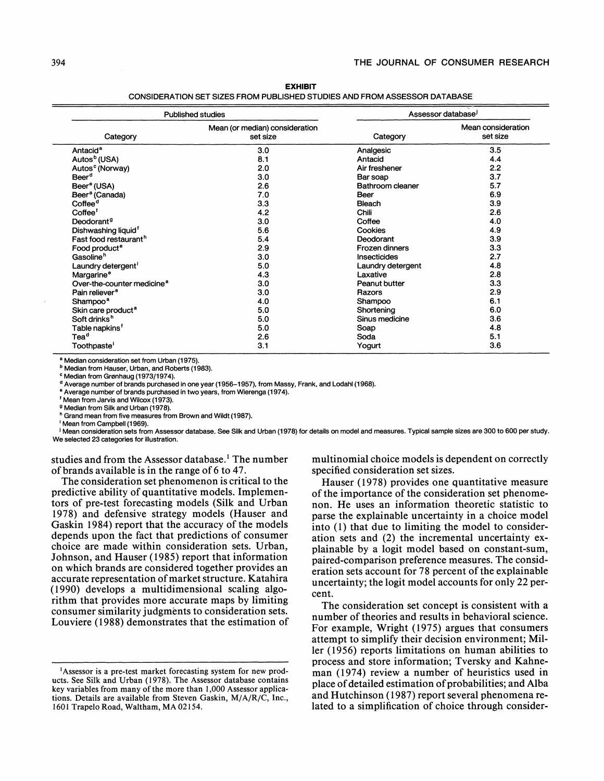|                                        | <b>Published studies</b>                   |                   | Assessor database <sup>1</sup> |
|----------------------------------------|--------------------------------------------|-------------------|--------------------------------|
| Category                               | Mean (or median) consideration<br>set size | Category          | Mean consideration<br>set size |
| Antacid <sup>a</sup>                   | 3.0                                        | Analgesic         | 3.5                            |
| Autos <sup>b</sup> (USA)               | 8.1                                        | Antacid           | 4.4                            |
| Autos <sup>c</sup> (Norway)            | 2.0                                        | Air freshener     | 2.2                            |
| Beer <sup>d</sup>                      | 3.0                                        | Bar soap          | 3.7                            |
| Beer <sup>e</sup> (USA)                | 2.6                                        | Bathroom cleaner  | 5.7                            |
| Beer <sup>a</sup> (Canada)             | 7.0                                        | Beer              | 6.9                            |
| Coffee <sup>d</sup>                    | 3.3                                        | Bleach            | 3.9                            |
| Coffee <sup>f</sup>                    | 4.2                                        | Chili             | 2.6                            |
| Deodorant <sup>9</sup>                 | 3.0                                        | Coffee            | 4.0                            |
| Dishwashing liquid'                    | 5.6                                        | Cookies           | 4.9                            |
| Fast food restaurant <sup>h</sup>      | 5.4                                        | Deodorant         | 3.9                            |
| Food product <sup>e</sup>              | 2.9                                        | Frozen dinners    | 3.3                            |
| Gasoline <sup>h</sup>                  | 3.0                                        | Insecticides      | 2.7                            |
| Laundry detergent'                     | 5.0                                        | Laundry detergent | 4.8                            |
| Margarine <sup>e</sup>                 | 4.3                                        | Laxative          | 2.8                            |
| Over-the-counter medicine <sup>a</sup> | 3.0                                        | Peanut butter     | 3.3                            |
| Pain reliever <sup>a</sup>             | 3.0                                        | Razors            | 2.9                            |
| Shampoo <sup>a</sup>                   | 4.0                                        | Shampoo           | 6.1                            |
| Skin care product <sup>a</sup>         | 5.0                                        | Shortening        | 6.0                            |
| Soft drinks <sup>h</sup>               | 5.0                                        | Sinus medicine    | 3.6                            |
| Table napkins'                         | 5.0                                        | Soap              | 4.8                            |
| Tea <sup>d</sup>                       | 2.6                                        | Soda              | 5.1                            |
| Toothpaste <sup>®</sup>                | 3.1                                        | Yoaurt            | 3.6                            |

**EXHIBIT CONSIDERATION SET SIZES FROM PUBLISHED STUDIES AND FROM ASSESSOR DATABASE** 

<sup>a</sup> Median consideration set from Urban (1975).

<sup>b</sup> Median from Hauser, Urban, and Roberts (1983).

<sup>c</sup> Median from Grønhaug (1973/1974).

<sup>d</sup> Average number of brands purchased in one year (1956-1957), from Massy, Frank, and Lodahl (1968).

<sup>e</sup> Average number of brands purchased in two years, from Wierenga (1974).<br><sup>1</sup> Mean from Jarvis and Wilcox (1973).

<sup>9</sup> Median from Silk and Urban (1978).

**Grand mean from flve measures from Brown and Wlldt (1987)** ' **Mean from Campbell (1969)** 

<sup>1</sup> Mean consideration sets from Assessor database. See Silk and Urban (1978) for details on model and measures. Typical sample sizes are 300 to 600 per study. **We selected 23 categories for illustration** 

studies and from the Assessor database.' The number of brands available is in the range of 6 to 47.

The consideration set phenomenon is critical to the predictive ability of quantitative models. Implementors of pre-test forecasting models (Silk and Urban 1978) and defensive strategy models (Hauser and Gaskin 1984) report that the accuracy of the models depends upon the fact that predictions of consumer choice are made within consideration sets. Urban, Johnson, and Hauser (1985) report that information on which brands are considered together provides an accurate representation of market structure. Katahira ( 1990) develops a multidimensional scaling algorithm that provides more accurate maps by limiting consumer similarity judgments to consideration sets. Louviere (1988) demonstrates that the estimation of

---

multinomial choice models is dependent on correctly specified consideration set sizes.

Hauser (1978) provides one quantitative measure of the importance of the consideration set phenomenon. He uses an information theoretic statistic to parse the explainable uncertainty in a choice model into (I) that due to limiting the model to consideration sets and (2) the incremental uncertainty explainable by a logit model based on constant-sum, paired-comparison preference measures. The consideration sets account for 78 percent of the explainable uncertainty; the logit model accounts for only 22 percent.

The consideration set concept is consistent with a number of theories and results in behavioral science. For example, Wright (1975) argues that consumers attempt to simplify their decision environment; Miller (1956) reports limitations on human abilities to process and store information; Tversky and Kahneman (1974) review a number of heuristics used in place of detailed estimation of probabilities; and Alba and Hutchinson ( 1987) report several phenomena related to a simplification of choice through consider-

<sup>&#</sup>x27;Assessor is a pre-test market forecasting system for new products. See Silk and Urban (1978). The Assessor database contains key variables from many of the more than 1,000 Assessor applications. Details are available from Steven Gaskin, M/A/R/C, Inc., 160**1** Trapelo Road, Waltham, MA 02 154.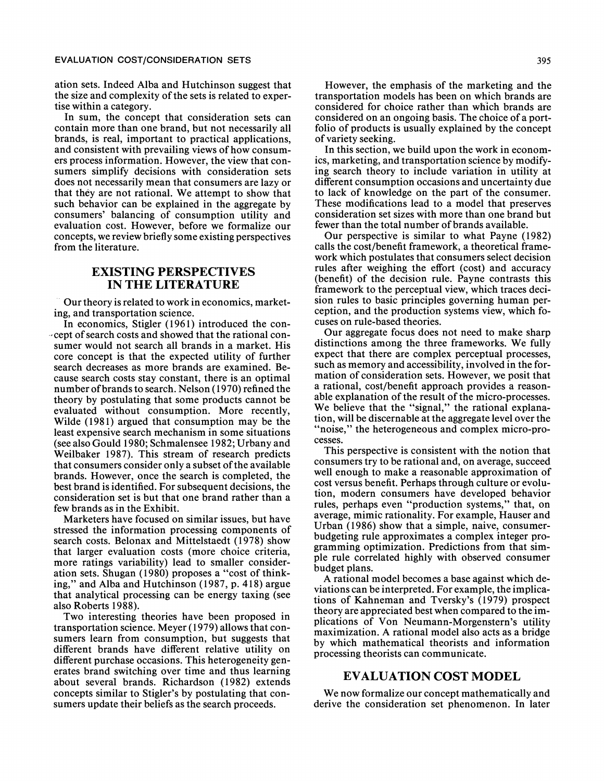ation sets. Indeed Alba and Hutchinson suggest that the size and complexity of the sets is related to expertise within a category.

In sum, the concept that consideration sets can contain more than one brand, but not necessarily all brands, is real, important to practical applications, and consistent with prevailing views of how consumers process information. However, the view that consumers simplify decisions with consideration sets does not necessarily mean that consumers are lazy or that they are not rational. We attempt to show that such behavior can be explained in the aggregate by consumers' balancing of consumption utility and evaluation cost. However, before we formalize our concepts, we review briefly some existing perspectives from the literature.

#### **EXISTING PERSPECTIVES IN THE LITERATURE**

Our theory is related to work in economics, marketing, and transportation science.

In economics, Stigler (1961) introduced the concept of search costs and showed that the rational consumer would not search all brands in a market. His core concept is that the expected utility of further search decreases as more brands are examined. Because search costs stay constant, there is an optimal number of brands to search. Nelson (1970) refined the theory by postulating that some products cannot be evaluated without consumption. More recently, Wilde (1981) argued that consumption may be the least expensive search mechanism in some situations (see also Gould 1980; Schmalensee 1982; Urbany and Weilbaker 1987). This stream of research predicts that consumers consider only a subset of the available brands. However, once the search is completed, the best brand is identified. For subsequent decisions, the consideration set is but that one brand rather than a few brands as in the Exhibit.

Marketers have focused on similar issues, but have stressed the information processing components of search costs. Belonax and Mittelstaedt (1978) show that larger evaluation costs (more choice criteria, more ratings variability) lead to smaller consideration sets. Shugan (1980) proposes a "cost of thinking," and Alba and Hutchinson (1987, p. 418) argue that analytical processing can be energy taxing (see also Roberts 1988).

Two interesting theories have been proposed in transportation science. Meyer (1979) allows that consumers learn from consumption, but suggests that different brands have different relative utility on different purchase occasions. This heterogeneity generates brand switching over time and thus learning about several brands. Richardson (1982) extends concepts similar to Stigler's by postulating that consumers update their beliefs as the search proceeds.

However, the emphasis of the marketing and the transportation models has been on which brands are considered for choice rather than which brands are considered on an ongoing basis. The choice of a portfolio of products is usually explained by the concept of variety seeking.

In this section, we build upon the work in economics, marketing, and transportation science by modifying search theory to include variation in utility at different consumption occasions and uncertainty due to lack of knowledge on the part of the consumer. These modifications lead to a model that preserves consideration set sizes with more than one brand but fewer than the total number of brands available.

Our perspective is similar to what Payne (1982) calls the cost/benefit framework, a theoretical framework which postulates that consumers select decision rules after weighing the effort (cost) and accuracy (benefit) of the decision rule. Payne contrasts this framework to the perceptual view, which traces decision rules to basic principles governing human perception, and the production systems view, which focuses on rule-based theories.

Our aggregate focus does not need to make sharp distinctions among the three frameworks. We fully expect that there are complex perceptual processes, such as memory and accessibility, involved in the formation of consideration sets. However, we posit that a rational, cost/benefit approach provides a reasonable explanation of the result of the micro-processes. We believe that the "signal," the rational explanation, will be discernable at the aggregate level over the "noise," the heterogeneous and complex micro-processes.

This perspective is consistent with the notion that consumers try to be rational and, on average, succeed well enough to make a reasonable approximation of cost versus benefit. Perhaps through culture or evolution, modern consumers have developed behavior rules, perhaps even "production systems," that, on average, mimic rationality. For example, Hauser and Urban (1986) show that a simple, naive, consumerbudgeting rule approximates a complex integer programming optimization. Predictions from that simple rule correlated highly with observed consumer budget plans.

A rational model becomes a base against which deviations can be interpreted. For example, the implications of Kahneman and Tversky's (1979) prospect theory are appreciated best when compared to the implications of Von Neumann-Morgenstern's utility maximization. **A** rational model also acts as a bridge by which mathematical theorists and information processing theorists can communicate.

#### **EVALUATION COST MODEL**

We now formalize our concept mathematically and derive the consideration set phenomenon. In later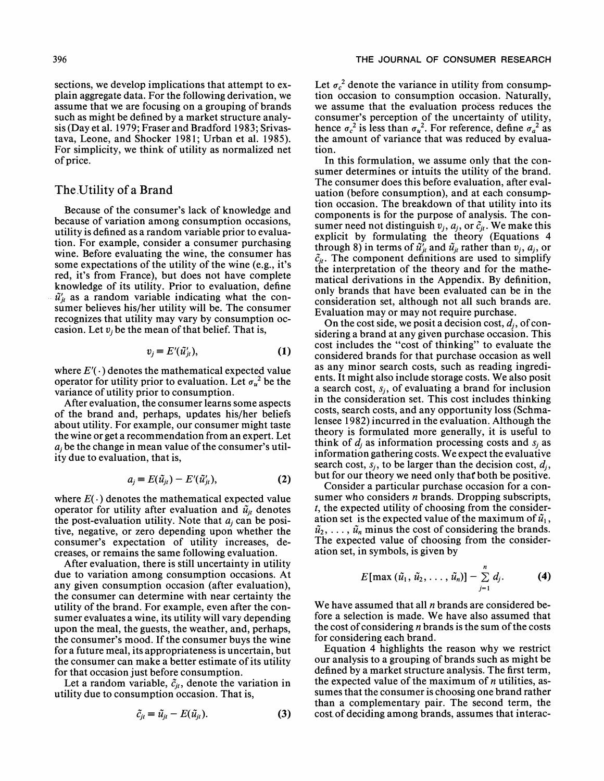sections, we develop implications that attempt to explain aggregate data. For the following derivation, we assume that we are focusing on a grouping of brands such as might be defined by a market structure analysis (Day et al. 1979; Fraser and Bradford 1983; Srivastava, Leone, and Shocker 1981; Urban et al. 1985). For simplicity, we think of utility as normalized net of price.

### The.Utility of a Brand

Because of the consumer's lack of knowledge and because of variation among consumption occasions, utility is defined as a random variable prior to evaluation. For example, consider a consumer purchasing wine. Before evaluating the wine, the consumer has some expectations of the utility of the wine (e.g., it's red, it's from France), but does not have complete knowledge of its utility. Prior to evaluation, define  $\tilde{u}'_{it}$  as a random variable indicating what the consumer believes his/her utility will be. The consumer recognizes that utility may vary by consumption occasion. Let  $v_i$  be the mean of that belief. That is,

$$
v_j = E'(\tilde{u}'_{jt}), \tag{1}
$$

where  $E'(\cdot)$  denotes the mathematical expected value operator for utility prior to evaluation. Let  $\sigma_u^2$  be the variance of utility prior to consumption.

After evaluation, the consumer learns some aspects of the brand and, perhaps, updates his/her beliefs about utility. For example, our consumer might taste the wine or get a recommendation from an expert. Let  $a_i$  be the change in mean value of the consumer's utility due to evaluation, that is,

$$
a_j = E(\tilde{u}_{jt}) - E'(\tilde{u}_{jt}'), \qquad (2)
$$

where  $E(\cdot)$  denotes the mathematical expected value operator for utility after evaluation and  $\tilde{u}_{it}$  denotes the post-evaluation utility. Note that  $a_j$  can be positive, negative, or zero depending upon whether the consumer's expectation of utility increases, decreases, or remains the same following evaluation.

After evaluation, there is still uncertainty in utility due to variation among consumption occasions. At any given consumption occasion (after evaluation), the consumer can determine with near certainty the utility of the brand. For example, even after the consumer evaluates a wine, its utility will vary depending upon the meal, the guests, the weather, and, perhaps, the consumer's mood. If the consumer buys the wine for a future meal, its appropriateness is uncertain, but the consumer can make a better estimate of its utility for that occasion just before consumption.

Let a random variable,  $\tilde{c}_{it}$ , denote the variation in utility due to consumption occasion. That is,

$$
\tilde{c}_{jt} = \tilde{u}_{jt} - E(\tilde{u}_{jt}). \tag{3}
$$

Let  $\sigma_c^2$  denote the variance in utility from consumption occasion to consumption occasion. Naturally, we assume that the evaluation process reduces the consumer's perception of the uncertainty of utility, hence  $\sigma_c^2$  is less than  $\sigma_u^2$ . For reference, define  $\sigma_a^2$  as the amount of variance that was reduced by evaluation.

In this formulation, we assume only that the consumer determines or intuits the utility of the brand. The consumer does this before evaluation, after evaluation (before consumption), and at each consumption occasion. The breakdown of that utility into its components is for the purpose of analysis. The consumer need not distinguish  $v_i$ ,  $a_i$ , or  $\tilde{c}_{i}$ . We make this explicit by formulating the theory (Equations 4 through 8) in terms of  $\tilde{u}'_{jt}$  and  $\tilde{u}_{jt}$  rather than  $v_j$ ,  $a_j$ , or  $\tilde{c}_{it}$ . The component definitions are used to simplify the interpretation of the theory and for the mathematical derivations in the Appendix. By definition, only brands that have been evaluated can be in the consideration set, although not all such brands are. Evaluation may or may not require purchase.

On the cost side, we posit a decision cost,  $d_i$ , of considering a brand at any given purchase occasion. This cost includes the "cost of thinking" to evaluate the considered brands for that purchase occasion as well as any minor search costs, such as reading ingredients. It might also include storage costs. We also posit a search cost,  $s_i$ , of evaluating a brand for inclusion in the consideration set. This cost includes thinking costs, search costs, and any opportunity loss (Schmalensee 1982) incurred in the evaluation. Although the theory is formulated more generally, it is useful to think of  $d_i$  as information processing costs and  $s_i$  as information gathering costs. We expect the evaluative search cost,  $s_i$ , to be larger than the decision cost,  $d_i$ , but for our theory we need only that both be positive.

Consider a particular purchase occasion for a consumer who considers *n* brands. Dropping subscripts, *t,* the expected utility of choosing from the consideration set is the expected value of the maximum of  $\tilde{u}_1$ ,  $\tilde{u}_2$ , ...,  $\tilde{u}_n$  minus the cost of considering the brands. The expected value of choosing from the consideration set, in symbols, is given by

$$
E[\max (\tilde{u}_1, \tilde{u}_2, \ldots, \tilde{u}_n)] - \sum_{j=1}^n d_j.
$$
 (4)

We have assumed that all *n* brands are considered before a selection is made. We have also assumed that the cost of considering *n* brands is the sum of the costs for considering each brand.

Equation 4 highlights the reason why we restrict our analysis to a grouping of brands such as might be defined by a market structure analysis. The first term, the expected value of the maximum of *n* utilities, assumes that the consumer is choosing one brand rather than a complementary pair. The second term, the cost. of deciding among brands, assumes that interac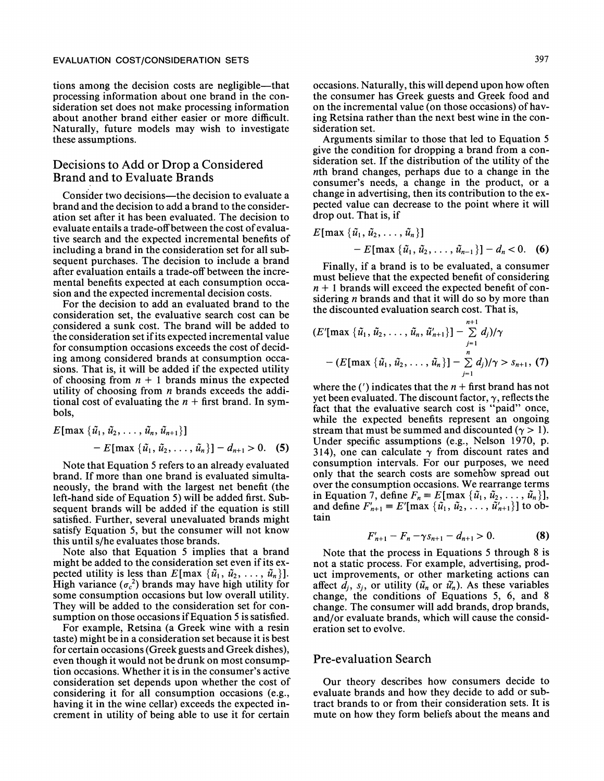tions among the decision costs are negligible—that processing information about one brand in the consideration set does not make processing information about another brand either easier or more difficult. Naturally, future models may wish to investigate these assumptions.

### Decisions to Add or Drop a Considered Brand and to Evaluate Brands

Consider two decisions—the decision to evaluate a brand and the decision to add a brand to the consideration set after it has been evaluated. The decision to evaluate entails a trade-off between the cost of evaluative search and the expected incremental benefits of including a brand in the consideration set for all subsequent purchases. The decision to include a brand after evaluation entails a trade-off between the incremental benefits expected at each consumption occasion and the expected incremental decision costs.

For the decision to add an evaluated brand to the consideration set, the evaluative search cost can be considered a sunk cost. The brand will be added to the consideration set if its expected incremental value for consumption occasions exceeds the cost of deciding among considered brands at consumption occasions. That is, it will be added if the expected utility of choosing from  $n + 1$  brands minus the expected utility of choosing from  $n$  brands exceeds the additional cost of evaluating the  $n +$  first brand. In symbols,

$$
E[\max{\{\tilde{u}_1, \tilde{u}_2, \ldots, \tilde{u}_n, \tilde{u}_{n+1}\}}]
$$
  
- 
$$
E[\max{\{\tilde{u}_1, \tilde{u}_2, \ldots, \tilde{u}_n\}}] - d_{n+1} > 0.
$$
 (5)

Note that Equation 5 refers to an already evaluated brand. If more than one brand is evaluated simultaneously, the brand with the largest net benefit (the left-hand side of Equation 5) will be added first. Subsequent brands will be added if the equation is still satisfied. Further, several unevaluated brands might satisfy Equation 5, but the consumer will not know this until s/he evaluates those brands.

Note also that Equation 5 implies that a brand might be added to the consideration set even if its expected utility is less than  $E$ [max  $\{\tilde{u}_1, \tilde{u}_2, \ldots, \tilde{u}_n\}$ ]. High variance  $(\sigma_c^2)$  brands may have high utility for some consumption occasions but low overall utility. They will be added to the consideration set for consumption on those occasions if Equation 5 is satisfied.

For example, Retsina (a Greek wine with a resin taste) might be in a consideration set because it is best for certain occasions (Greek guests and Greek dishes), even though it would not be drunk on most consumption occasions. Whether it is in the consumer's active consideration set depends upon whether the cost of considering it for all consumption occasions (e.g., having it in the wine cellar) exceeds the expected increment in utility of being able to use it for certain

Arguments similar to those that led to Equation 5 give the condition for dropping a brand from a consideration set. If the distribution of the utility of the nth brand changes, perhaps due to a change in the consumer's needs, a change in the product, or a change in advertising, then its contribution to the expected value can decrease to the point where it will drop out. That is, if

$$
E[\max{\{\tilde{u}_1, \tilde{u}_2, \ldots, \tilde{u}_n\}}] - E[\max{\{\tilde{u}_1, \tilde{u}_2, \ldots, \tilde{u}_{n-1}\}}] - d_n < 0.
$$
 (6)

Finally, if a brand is to be evaluated, a consumer must believe that the expected benefit of considering  $n + 1$  brands will exceed the expected benefit of considering  $n$  brands and that it will do so by more than the discounted evaluation search cost. That is,

$$
(E'[\max{\{\tilde{u}_1, \tilde{u}_2, \ldots, \tilde{u}_n, \tilde{u}'_{n+1}\}}] - \sum_{j=1}^{n+1} d_j)/\gamma
$$
  
- 
$$
(E[\max{\{\tilde{u}_1, \tilde{u}_2, \ldots, \tilde{u}_n\}}] - \sum_{j=1}^{n} d_j)/\gamma > s_{n+1}, (7)
$$

where the (') indicates that the  $n +$  first brand has not yet been evaluated. The discount factor,  $\gamma$ , reflects the fact that the evaluative search cost is "paid" once, while the expected benefits represent an ongoing stream that must be summed and discounted ( $\gamma > 1$ ). Under specific assumptions (e.g., Nelson 1970, p. 314), one can calculate  $\gamma$  from discount rates and consumption intervals. For our purposes, we need only that the search costs are somehbw spread out over the consumption occasions. We rearrange terms in Equation 7, define  $F_n = E$ [max  $\{\tilde{u}_1, \tilde{u}_2, \ldots, \tilde{u}_n\}$ ], and define  $F'_{n+1} = E'[\max{\{\tilde{u}_1, \tilde{u}_2, ..., \tilde{u}'_{n+1}\}}]$  to obtain

$$
F'_{n+1} - F_n - \gamma s_{n+1} - d_{n+1} > 0. \tag{8}
$$

Note that the process in Equations 5 through 8 is not a static process. For example, advertising, product improvements, or other marketing actions can affect  $d_j$ ,  $s_j$ , or utility  $(\tilde{u}_n$  or  $\tilde{u}_n'$ ). As these variables change, the conditions of Equations 5, 6, and 8 change. The consumer will add brands, drop brands, and/or evaluate brands, which will cause the consideration set to evolve.

#### Pre-evaluation Search

Our theory describes how consumers decide to evaluate brands and how they decide to add or subtract brands to or from their consideration sets. It is mute on how they form beliefs about the means and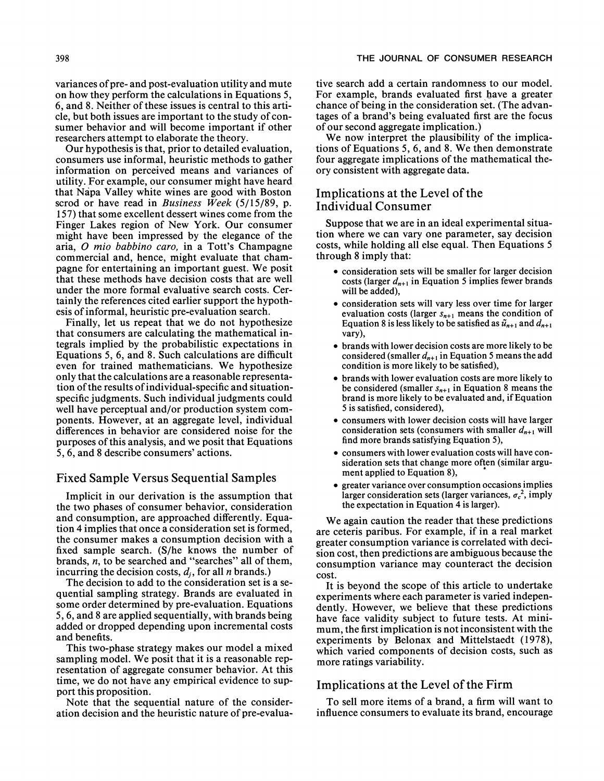variances of pre- and post-evaluation utility and mute on how they perform the calculations in Equations 5, 6, and 8. Neither of these issues is central to this article, but both issues are important to the study of consumer behavior and will become important if other researchers attempt to elaborate the theory.

Our hypothesis is that, prior to detailed evaluation, consumers use informal, heuristic methods to gather information on perceived means and variances of utility. For example, our consumer might have heard that Napa Valley white wines are good with Boston scrod or have read in *Business Week*  $(5/15/89, p.$ 157) that some excellent dessert wines come from the Finger Lakes region of New York. Our consumer might have been impressed by the elegance of the aria, 0 mio babbino caro, in a Tott's Champagne commercial and, hence, might evaluate that champagne for entertaining an important guest. We posit that these methods have decision costs that are well under the more formal evaluative search costs. Certainly the references cited earlier support the hypothesis of informal, heuristic pre-evaluation search.

Finally, let us repeat that we do not hypothesize that consumers are calculating the mathematical integrals implied by the probabilistic expectations in Equations 5, 6, and 8. Such calculations are difficult even for trained mathematicians. We hypothesize only that the calculations are a reasonable representation of the results of individual-specific and situationspecific judgments. Such individual judgments could well have perceptual and/or production system components. However, at an aggregate level, individual differences in behavior are considered noise for the purposes of this analysis, and we posit that Equations 5,6, and 8 describe consumers' actions.

### Fixed Sample Versus Sequential Samples

Implicit in our derivation is the assumption that the two phases of consumer behavior, consideration and consumption, are approached differently. Equation 4 implies that once a consideration set is formed, the consumer makes a consumption decision with a fixed sample search. (S/he knows the number of brands,  $n$ , to be searched and "searches" all of them, incurring the decision costs,  $d_i$ , for all *n* brands.)

The decision to add to the consideration set is a sequential sampling strategy. Brands are evaluated in some order determined by pre-evaluation. Equations 5,6, and 8 are applied sequentially, with brands being added or dropped depending upon incremental costs and benefits.

This two-phase strategy makes our model a mixed sampling model. We posit that it is a reasonable representation of aggregate consumer behavior. At this time, we do not have any empirical evidence to support this proposition.

Note that the sequential nature of the consideration decision and the heuristic nature of pre-evalua-

tive search add a certain randomness to our model. For example, brands evaluated first have a greater chance of being in the consideration set. (The advantages of a brand's being evaluated first are the focus of our second aggregate implication.)

We now interpret the plausibility of the implications of Equations 5, 6, and 8. We then demonstrate four aggregate implications of the mathematical theory consistent with aggregate data.

### Implications at the Level of the Individual Consumer

Suppose that we are in an ideal experimental situation where we can vary one parameter, say decision costs, while holding all else equal. Then Equations 5 through 8 imply that:

- consideration sets will be smaller for larger decision costs (larger  $d_{n+1}$  in Equation 5 implies fewer brands will be added),
- consideration sets will vary less over time for larger evaluation costs (larger  $s_{n+1}$  means the condition of Equation 8 is less likely to be satisfied as  $\tilde{u}_{n+1}$  and  $d_{n+1}$ vary),
- brands with lower decision costs are more likely to be considered (smaller  $d_{n+1}$  in Equation 5 means the add condition is more likely to be satisfied),
- brands with lower evaluation costs are more likely to be considered (smaller  $s_{n+1}$  in Equation 8 means the brand is more likely to be evaluated and, if Equation 5 is satisfied, considered),
- consumers with lower decision costs will have larger consideration sets (consumers with smaller  $d_{n+1}$  will find more brands satisfying Equation 5),
- consumers with lower evaluation costs will have consideration sets that change more ofien (similar argument applied to Equation 8),
- greater variance over consumption occasions implies larger consideration sets (larger variances,  $\sigma_c^2$ , imply the expectation in Equation 4 is larger).

We again caution the reader that these predictions are ceteris paribus. For example, if in a real market greater consumption variance is correlated with decision cost, then predictions are ambiguous because the consumption variance may counteract the decision cost.

It is beyond the scope of this article to undertake experiments where each parameter is varied independently. However, we believe that these predictions have face validity subject to future tests. At minimum, the first implication is not inconsistent with the experiments by Belonax and Mittelstaedt (1978), which varied components of decision costs, such as more ratings variability.

#### Implications at the Level of the Firm

To sell more items of a brand, a firm will want to influence consumers to evaluate its brand, encourage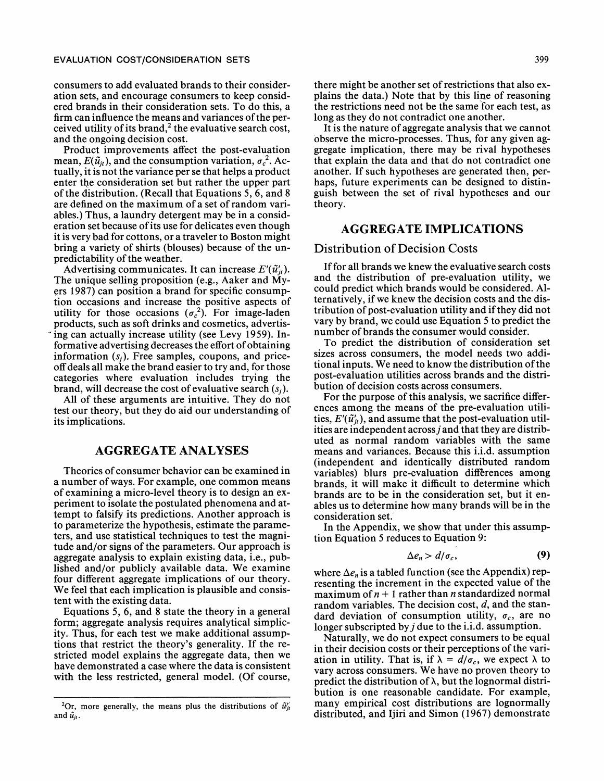consumers to add evaluated brands to their consideration sets, and encourage consumers to keep considered brands in their consideration sets. To do this, a firm can influence the means and variances of the perceived utility of its brand, $<sup>2</sup>$  the evaluative search cost,</sup> and the ongoing decision cost.

Product improvements affect the post-evaluation mean,  $E(\tilde{u}_{it})$ , and the consumption variation,  $\sigma_c^2$ . Actually, it is not the variance per se that helps a product enter the consideration set but rather the upper part of the distribution. (Recall that Equations 5,6, and 8 are defined on the maximum of a set of random variables.) Thus, a laundry detergent may be in a consideration set because of its use for delicates even though it is very bad for cottons, or a traveler to Boston might bring a variety of shirts (blouses) because of the unpredictability of the weather.

Advertising communicates. It can increase  $E'(\tilde{u}'_{it})$ . The unique selling proposition (e.g., Aaker and Myers 1987) can position a brand for specific consumption occasions and increase the positive aspects of utility for those occasions  $(\sigma_c^2)$ . For image-laden products, such as soft drinks and cosmetics, advertis ing can actually increase utility (see Levy 1959). Informative advertising decreases the effort of obtaining information  $(s_i)$ . Free samples, coupons, and priceoff deals all make the brand easier to try and, for those categories where evaluation includes trying the brand, will decrease the cost of evaluative search  $(s_i)$ .

All of these arguments are intuitive. They do not test our theory, but they do aid our understanding of its implications.

#### **AGGREGATE ANALYSES**

Theories of consumer behavior can be examined in a number of ways. For example, one common means of examining a micro-level theory is to design an experiment to isolate the postulated phenomena and attempt to falsify its predictions. Another approach is to parameterize the hypothesis, estimate the parameters, and use statistical techniques to test the magnitude and/or signs of the parameters. Our approach is aggregate analysis to explain existing data, i.e., published and/or publicly available data. We examine four different aggregate implications of our theory. We feel that each implication is plausible and consistent with the existing data.

Equations 5, 6, and 8 state the theory in a general form; aggregate analysis requires analytical simplicity. Thus, for each test we make additional assumptions that restrict the theory's generality. If the restricted model explains the aggregate data, then we have demonstrated a case where the data is consistent with the less restricted, general model. (Of course, there might be another set of restrictions that also explains the data.) Note that by this line of reasoning the restrictions need not be the same for each test, as long as they do not contradict one another.

It is the nature of aggregate analysis that we cannot observe the micro-processes. Thus, for any given aggregate implication, there may be rival hypotheses that explain the data and that do not contradict one another. If such hypotheses are generated then, perhaps, future experiments can be designed to distinguish between the set of rival hypotheses and our theory.

#### **AGGREGATE IMPLICATIONS**

#### Distribution of Decision Costs

If for all brands we knew the evaluative search costs and the distribution of pre-evaluation utility, we could predict which brands would be considered. Alternatively, if we knew the decision costs and the distribution of post-evaluation utility and if they did not vary by brand, we could use Equation 5 to predict the number of brands the consumer would consider.

To predict the distribution of consideration set sizes across consumers, the model needs two additional inputs. We need to know the distribution of the post-evaluation utilities across brands and the distribution of decision costs across consumers.

For the purpose of this analysis, we sacrifice differences among the means of the pre-evaluation utilities,  $E'(\tilde{u}'_{tt})$ , and assume that the post-evaluation utilities are independent across j and that they are distributed as normal random variables with the same means and variances. Because this i.i.d. assumption (independent and identically distributed random variables) blurs pre-evaluation differences among brands, it will make it difficult to determine which brands are to be in the consideration set, but it enables us to determine how many brands will be in the consideration set.

In the Appendix, we show that under this assumption Equation 5 reduces to Equation 9:

$$
\Delta e_n > d/\sigma_c, \qquad (9)
$$

where  $\Delta e_n$  is a tabled function (see the Appendix) representing the increment in the expected value of the maximum of *n* + 1 rather than *n* standardized normal random variables. The decision cost,  $d$ , and the standard deviation of consumption utility,  $\sigma_c$ , are no longer subscripted by j due to the i.i.d. assumption.

Naturally, we do not expect consumers to be equal in their decision costs or their perceptions of the variation in utility. That is, if  $\lambda = d/\sigma_c$ , we expect  $\lambda$  to vary across consumers. We have no proven theory to predict the distribution of  $\lambda$ , but the lognormal distribution is one reasonable candidate. For example, many empirical cost distributions are lognormally distributed, and Ijiri and Simon (1967) demonstrate

<sup>&</sup>lt;sup>2</sup>Or, more generally, the means plus the distributions of  $\tilde{u}^r_{it}$ and  $\tilde{u}_{ji}$ .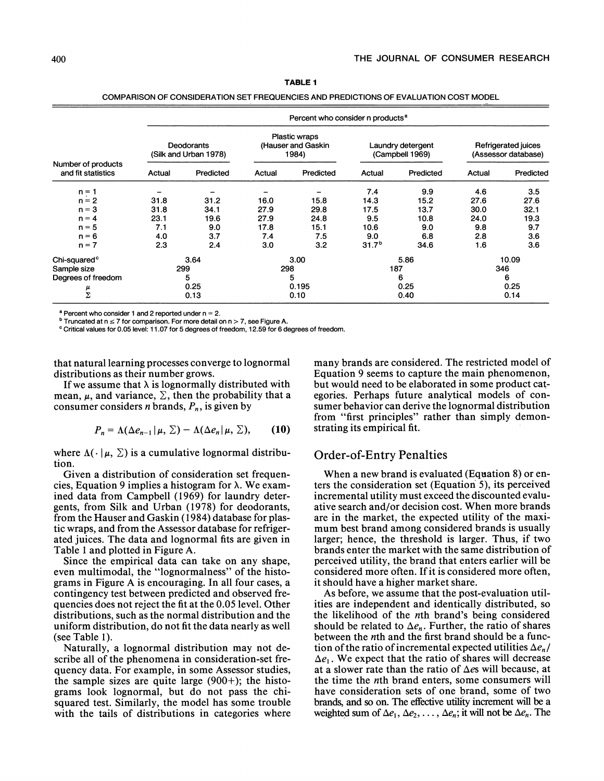|                                          | Percent who consider n products <sup>a</sup> |           |                                              |           |                                      |           |                                            |           |
|------------------------------------------|----------------------------------------------|-----------|----------------------------------------------|-----------|--------------------------------------|-----------|--------------------------------------------|-----------|
|                                          | Deodorants<br>(Silk and Urban 1978)          |           | Plastic wraps<br>(Hauser and Gaskin<br>1984) |           | Laundry detergent<br>(Campbell 1969) |           | Refrigerated juices<br>(Assessor database) |           |
| Number of products<br>and fit statistics | Actual                                       | Predicted | Actual                                       | Predicted | Actual                               | Predicted | Actual                                     | Predicted |
| $n = 1$                                  |                                              |           |                                              |           | 7.4                                  | 9.9       | 4.6                                        | 3.5       |
| $n = 2$                                  | 31.8                                         | 31.2      | 16.0                                         | 15.8      | 14.3                                 | 15.2      | 27.6                                       | 27.6      |
| $n = 3$                                  | 31.8                                         | 34.1      | 27.9                                         | 29.8      | 17.5                                 | 13.7      | 30.0                                       | 32.1      |
| $n = 4$                                  | 23.1                                         | 19.6      | 27.9                                         | 24.8      | 9.5                                  | 10.8      | 24.0                                       | 19.3      |
| $n = 5$                                  | 7.1                                          | 9.0       | 17.8                                         | 15.1      | 10.6                                 | 9.0       | 9.8                                        | 9.7       |
| $n = 6$                                  | 4.0                                          | 3.7       | 7.4                                          | 7.5       | 9.0                                  | 6.8       | 2.8                                        | 3.6       |
| $n = 7$                                  | 2.3                                          | 2.4       | 3.0                                          | 3.2       | 31.7 <sup>b</sup>                    | 34.6      | 1.6                                        | 3.6       |
| Chi-squared <sup>c</sup>                 | 3.64                                         |           | 3.00                                         |           | 5.86                                 |           | 10.09                                      |           |
| Sample size                              | 299                                          |           | 298                                          |           | 187                                  |           | 346                                        |           |
| Degrees of freedom                       |                                              | 5         |                                              | 5         |                                      | 6         |                                            | 6         |
| $\mu$                                    |                                              | 0.25      |                                              | 0.195     |                                      | 0.25      |                                            | 0.25      |
| Σ                                        |                                              | 0.13      |                                              | 0.10      |                                      | 0.40      |                                            | 0.14      |

**TABLE 1** 

COMPARISON OF CONSIDERATION SET FREQUENCIES AND PREDICTIONS OF EVALUATION COST MODEL

**Percent who consider 1 and 2 reported under**  $n = 2$ **.** 

Truncated at n **s** 7 for comparison. For more detail on n > 7, see Figure **A.** 

Critical values for 0.05 level: 11.07 for 5 degrees of freedom, 12.59 for 6 degrees of freedom.

that natural learning processes converge to lognormal distributions as their number grows.

If we assume that  $\lambda$  is lognormally distributed with mean,  $\mu$ , and variance,  $\Sigma$ , then the probability that a consumer considers *n* brands,  $P_n$ , is given by

$$
P_n = \Lambda(\Delta e_{n-1} | \mu, \Sigma) - \Lambda(\Delta e_n | \mu, \Sigma), \qquad (10)
$$

where  $\Lambda(\cdot | \mu, \Sigma)$  is a cumulative lognormal distribution.

Given a distribution of consideration set frequencies, Equation 9 implies a histogram for **A.** We examined data from Campbell (1969) for laundry detergents, from Silk and Urban (1978) for deodorants, from the Hauser and Gaskin (1984) database for plastic wraps, and from the Assessor database for refrigerated juices. The data and lognormal fits are given in Table 1 and plotted in Figure A.

Since the empirical data can take on any shape, even multimodal, the "lognormalness" of the histograms in Figure A is encouraging. In all four cases, a contingency test between predicted and observed frequencies does not reject the fit at the 0.05 level. Other distributions, such as the normal distribution and the uniform distribution, do not fit the data nearly as well (see Table I).

Naturally, a lognormal distribution may not describe all of the phenomena in consideration-set frequency data. For example, in some Assessor studies, the sample sizes are quite large  $(900+)$ ; the histograms look lognormal, but do not pass the chisquared test. Similarly, the model has some trouble with the tails of distributions in categories where

many brands are considered. The restricted model of Equation 9 seems to capture the main phenomenon, but would need to be elaborated in some product categories. Perhaps future analytical models of consumer behavior can derive the lognormal distribution from "first principles" rather than simply demonstrating its empirical fit.

### Order-of-Entry Penalties

When a new brand is evaluated (Equation 8) or enters the consideration set (Equation 5), its perceived incremental utility must exceed the discounted evaluative search and/or decision cost. When more brands are in the market, the expected utility of the maximum best brand among considered brands is usually larger; hence, the threshold is larger. Thus, if two brands enter the market with the same distribution of perceived utility, the brand that enters earlier will be considered more often. If it is considered more often, it should have a higher market share.

As before, we assume that the post-evaluation utilities are independent and identically distributed, so the likelihood of the nth brand's being considered should be related to  $\Delta e_n$ . Further, the ratio of shares between the nth and the first brand should be a function of the ratio of incremental expected utilities  $\Delta e_n/$  $\Delta e_1$ . We expect that the ratio of shares will decrease at a slower rate than the ratio of  $\Delta e$ s will because, at the time the nth brand enters, some consumers will have consideration sets of one brand, some of two brands, and so on. The effective utility increment will be a weighted sum of  $\Delta e_1, \Delta e_2, \ldots, \Delta e_n$ ; it will not be  $\Delta e_n$ . The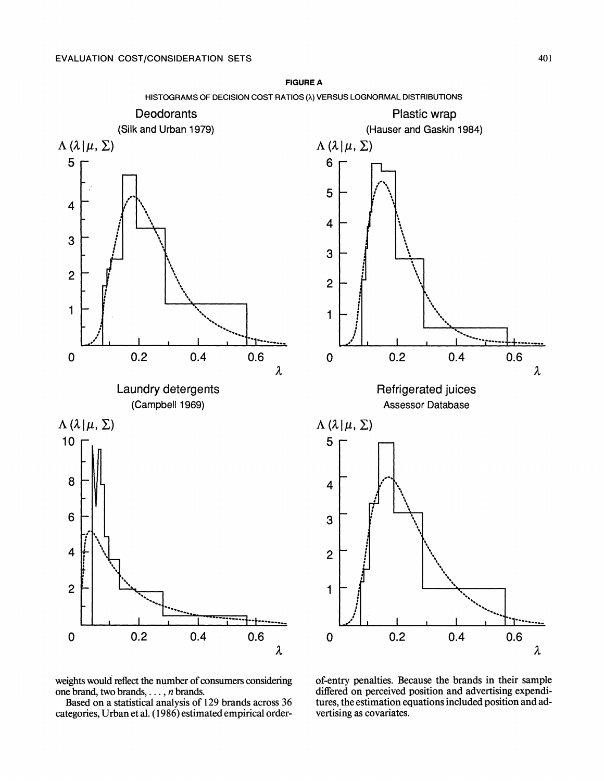

categories, Urban et al. (1986) estimated empirical order-

weights would reflect the number of consumers considering of-entry penalties. Because the brands in their sample one brand, two brands  $\dots$ , *n* brands. one brand, two brands, ..., *n* brands.<br>Based on a statistical analysis of 129 brands across 36 tures, the estimation equations included position and adtures, the estimation equations included position and advertising as covariates.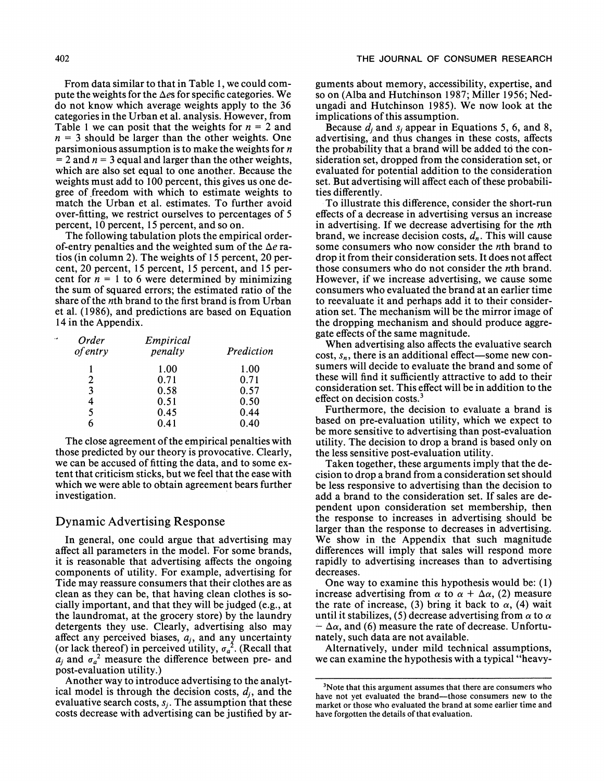From data similar to that in Table 1, we could compute the weights for the  $\Delta e$ s for specific categories. We do not know which average weights apply to the 36 categories in the Urban et al. analysis. However, from Table 1 we can posit that the weights for  $n = 2$  and  $n = 3$  should be larger than the other weights. One parsimonious assumption is to make the weights for *n*  $= 2$  and  $n = 3$  equal and larger than the other weights, which are also set equal to one another. Because the weights must add to 100 percent, this gives us one degree of freedom with which to estimate weights to match the Urban et al. estimates. To further avoid over-fitting, we restrict ourselves to percentages of 5 percent, 10 percent, 15 percent, and so on.

The following tabulation plots the empirical orderof-entry penalties and the weighted sum of the  $\Delta e$  ratios (in column 2). The weights of 15 percent, 20 percent, 20 percent, 15 percent, 15 percent, and 15 percent for  $n = 1$  to 6 were determined by minimizing the sum of squared errors; the estimated ratio of the share of the nth brand to the first brand is from Urban et al. (1986), and predictions are based on Equation 14 in the Appendix.

| ¢ | Order<br>of entry | Empirical<br>penalty | Prediction |  |  |
|---|-------------------|----------------------|------------|--|--|
|   |                   | 1.00                 | 1.00       |  |  |
|   | 2                 | 0.71                 | 0.71       |  |  |
|   | 3                 | 0.58                 | 0.57       |  |  |
|   |                   | 0.51                 | 0.50       |  |  |
|   |                   | 0.45                 | 0.44       |  |  |
|   |                   | 0.41                 | 0.40       |  |  |

The close agreement of the empirical penalties with those predicted by our theory is provocative. Clearly, we can be accused of fitting the data, and to some extent that criticism sticks, but we feel that the ease with which we were able to obtain agreement bears further investigation.

#### Dynamic Advertising Response

In general, one could argue that advertising may affect all parameters in the model. For some brands, it is reasonable that advertising affects the ongoing components of utility. For example, advertising for Tide may reassure consumers that their clothes are as clean as they can be, that having clean clothes is socially important, and that they will be judged (e.g., at the laundromat, at the grocery store) by the laundry detergents they use. Clearly, advertising also may affect any perceived biases,  $a_j$ , and any uncertainty (or lack thereof) in perceived utility,  $\sigma_a^2$ . (Recall that  $a_j$  and  $\sigma_a^2$  measure the difference between pre- and post-evaluation utility.)

Another way to introduce advertising to the analytical model is through the decision costs,  $d_i$ , and the evaluative search costs,  $s_i$ . The assumption that these costs decrease with advertising can be justified by arguments about memory, accessibility, expertise, and so on (Alba and Hutchinson 1987; Miller 1956; Nedungadi and Hutchinson 1985). We now look at the implications of this assumption.

Because d, and **s,** appear in Equations 5, 6, and 8, advertising, and thus changes in these costs, affects the probability that a brand will be added to the consideration set, dropped from the consideration set, or evaluated for potential addition to the consideration set. But advertising will affect each of these probabilities differently.

To illustrate this difference, consider the short-run effects of a decrease in advertising versus an increase in advertising. If we decrease advertising for the nth brand, we increase decision costs,  $d_n$ . This will cause some consumers who now consider the nth brand to drop it from their consideration sets. It does not affect those consumers who do not consider the nth brand. However, if we increase advertising, we cause some consumers who evaluated the brand at an earlier time to reevaluate it and perhaps add it to their consideration set. The mechanism will be the mirror image of the dropping mechanism and should produce aggregate effects of the same magnitude.

When advertising also affects the evaluative search cost,  $s_n$ , there is an additional effect—some new consumers will decide to evaluate the brand and some of these will find it sufficiently attractive to add to their consideration set. This effect will be in addition to the effect on decision costs. $3$ 

Furthermore, the decision to evaluate a brand is based on pre-evaluation utility, which we expect to be more sensitive to advertising than post-evaluation utility. The decision to drop a brand is based only on the less sensitive post-evaluation utility.

Taken together, these arguments imply that the decision to drop a brand from a consideration set should be less responsive to advertising than the decision to add a brand to the consideration set. If sales are dependent upon consideration set membership, then the response to increases in advertising should be larger than the response to decreases in advertising. We show in the Appendix that such magnitude differences will imply that sales will respond more rapidly to advertising increases than to advertising decreases.

One way to examine this hypothesis would be: (I) increase advertising from  $\alpha$  to  $\alpha + \Delta \alpha$ , (2) measure the rate of increase, (3) bring it back to  $\alpha$ , (4) wait until it stabilizes, (5) decrease advertising from  $\alpha$  to  $\alpha$  $-\Delta\alpha$ , and (6) measure the rate of decrease. Unfortunately, such data are not available.

Alternatively, under mild technical assumptions, we can examine the hypothesis with a typical "heavy-

<sup>&</sup>lt;sup>3</sup>Note that this argument assumes that there are consumers who have not yet evaluated the brand-those consumers new to the market or those who evaluated the brand at some earlier time and have forgotten the details of that evaluation.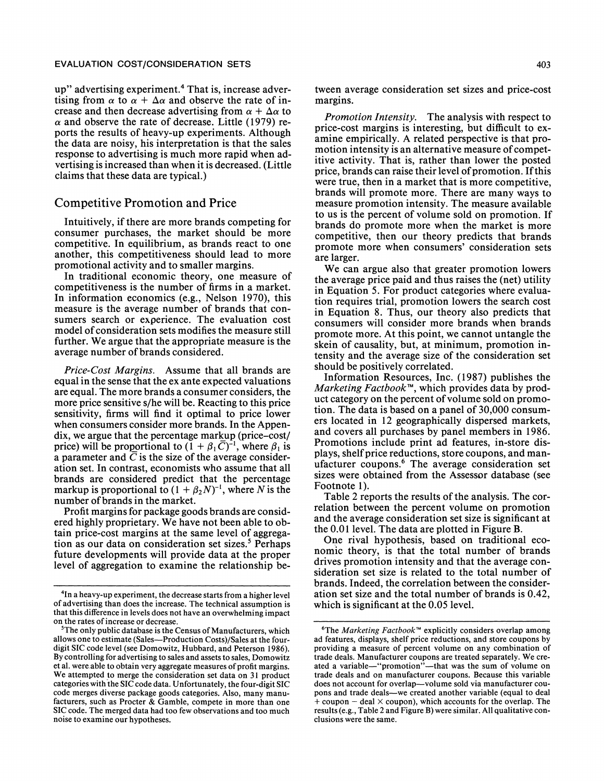up" advertising experiment.<sup>4</sup> That is, increase advertising from  $\alpha$  to  $\alpha + \Delta \alpha$  and observe the rate of increase and then decrease advertising from  $\alpha + \Delta \alpha$  to  $\alpha$  and observe the rate of decrease. Little (1979) reports the results of heavy-up experiments. Although the data are noisy, his interpretation is that the sales response to advertising is much more rapid when advertising is increased than when it is decreased. (Little claims that these data are typical.)

#### Competitive Promotion and Price

Intuitively, if there are more brands competing for consumer purchases, the market should be more competitive. In equilibrium, as brands react to one another, this competitiveness should lead to more promotional activity and to smaller margins.

In traditional economic theory, one measure of competitiveness is the number of firms in a market. In information economics (e.g., Nelson 1970), this measure is the average number of brands that consumers search or experience. The evaluation cost model of consideration sets modifies the measure still further. We argue that the appropriate measure is the average number of brands considered.

Price-Cost Margins. Assume that all brands are equal in the sense that the ex ante expected valuations are equal. The more brands a consumer considers, the more price sensitive s/he will be. Reacting to this price sensitivity, firms will find it optimal to price lower when consumers consider more brands. In the Appendix, we argue that the percentage markup (price-cost/ price) will be proportional to  $(1 + \beta_1 \overline{C})^{-1}$ , where  $\beta_1$  is a parameter and  $\overline{C}$  is the size of the average consideration set. In contrast, economists who assume that all brands are considered predict that the percentage markup is proportional to  $(1 + \beta_2 N)^{-1}$ , where N is the number of brands in the market.

Profit margins for package goods brands are considered highly proprietary. We have not been able to obtain price-cost margins at the same level of aggregation as our data on consideration set sizes.<sup>5</sup> Perhaps future developments will provide data at the proper level of aggregation to examine the relationship between average consideration set sizes and price-cost margins.

Promotion Intensity. The analysis with respect to price-cost margins is interesting, but difficult to examine empirically. A related perspective is that promotion intensity is an alternative measure of competitive activity. That is, rather than lower the posted price, brands can raise their level of promotion. If this were true, then in a market that is more competitive, brands will promote more. There are many ways to measure promotion intensity. The measure available to us is the percent of volume sold on promotion. If brands do promote more when the market is more competitive, then our theory predicts that brands promote more when consumers' consideration sets are larger.

We can argue also that greater promotion lowers the average price paid and thus raises the (net) utility in Equation 5. For product categories where evaluation requires trial, promotion lowers the search cost in Equation 8. Thus, our theory also predicts that consumers will consider more brands when brands promote more. At this point, we cannot untangle the skein of causality, but, at minimum, promotion intensity and the average size of the consideration set should be positively correlated.

Information Resources, Inc. (1987) publishes the  $Marketing$  Factbook<sup> $m$ </sup>, which provides data by product category on the percent of volume sold on promotion. The data is based on a panel of 30,000 consumers located in 12 geographically dispersed markets, and covers all purchases by panel members in 1986. Promotions include print ad features, in-store displays, shelf price reductions, store coupons, and manufacturer coupons.<sup>6</sup> The average consideration set sizes were obtained from the Assessor database (see Footnote I).

Table 2 reports the results of the analysis. The correlation between the percent volume on promotion and the average consideration set size is significant at the 0.0 1 level. The data are plotted in Figure B.

One rival hypothesis, based on traditional economic theory, is that the total number of brands drives promotion intensity and that the average consideration set size is related to the total number of brands. Indeed, the correlation between the consideration set size and the total number of brands is 0.42, which is significant at the 0.05 level.

<sup>41</sup>n a heavy-up experiment, the decrease starts from a higher level of advertising than does the increase. The technical assumption is that this difference in levels does not have an overwhelming impact on the rates of increase or decrease.

<sup>&</sup>lt;sup>5</sup>The only public database is the Census of Manufacturers, which allows one to estimate (Sales-Production Costs)/Sales at the fourdigit SIC code level (see Domowitz, Hubbard, and Peterson 1986). By controlling for advertising to sales and assets to sales, Domowitz et al. were.able to obtain very aggregate measures of profit margins. We attempted to merge the consideration set data on 31 product categories with the SIC code data. Unfortunately, the four-digit SIC code merges diverse package goods categories. Also, many manufacturers, such as Procter & Gamble, compete in more than one SIC code. The merged data had too few observations and too much noise to examine our hypotheses.

<sup>6</sup>The *Marketing Factbook'"* explicitly considers overlap among ad features, displays, shelf price reductions, and store coupons by providing a measure of percent volume on any combination of trade deals. Manufacturer coupons are treated separately. We created a variable-"promotion"-that was the sum of volume on trade deals and on manufacturer coupons. Because this variable does not account for overlap-volume sold via manufacturer coupons and trade deals-we created another variable (equal to deal  $+$  coupon  $-$  deal  $\times$  coupon), which accounts for the overlap. The results (e.g., Table 2 and Figure B) were similar. All qualitative conclusions were the same.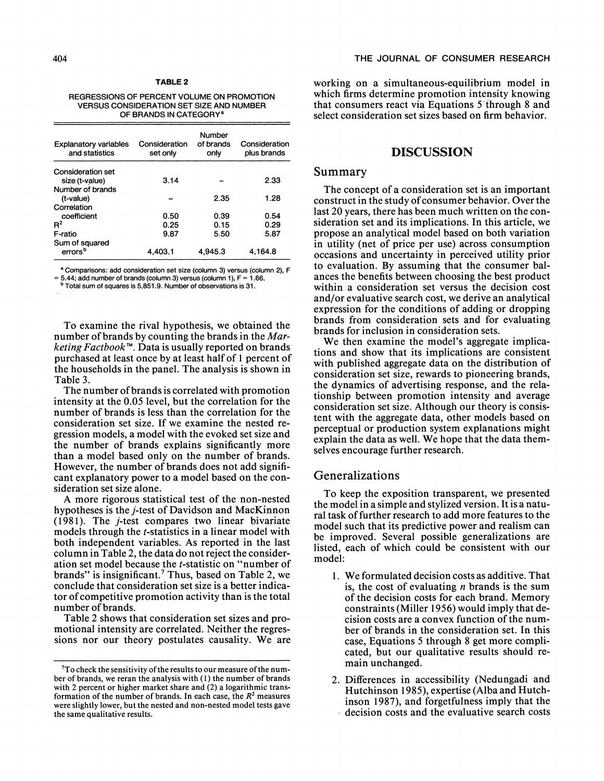#### **TABLE 2**

REGRESSIONS OF PERCENT VOLUME ON PROMOTION VERSUS CONSIDERATION SET SIZE AND NUMBER OF BRANDS IN CATEGORY<sup>a</sup>

| <b>Explanatory variables</b><br>and statistics | Consideration<br>set only | Number<br>of brands<br>only | Consideration<br>plus brands |
|------------------------------------------------|---------------------------|-----------------------------|------------------------------|
| Consideration set                              |                           |                             |                              |
| size (t-value)                                 | 3.14                      |                             | 2.33                         |
| Number of brands                               |                           |                             |                              |
| (t-value)                                      |                           | 2.35                        | 1.28                         |
| Correlation                                    |                           |                             |                              |
| coefficient                                    | 0.50                      | 0.39                        | 0.54                         |
| $R^2$                                          | 0.25                      | 0.15                        | 0.29                         |
| F-ratio                                        | 9.87                      | 5.50                        | 5.87                         |
| Sum of squared                                 |                           |                             |                              |
| errors <sup>b</sup>                            | 4.403.1                   | 4.945.3                     | 4.164.8                      |

**<sup>a</sup>**Comparisons: add consideration set size (column **3)**versus (column **2),**F = 5.44; add number of brands (column **3)**versus (column **I),**F = **1.66.** 

<sup>b</sup> Total sum of squares is 5,851.9. Number of observations is 31.

To examine the rival hypothesis, we obtained the number of brands by counting the brands in the Marketing Factbook<sup>™</sup>. Data is usually reported on brands purchased at least once by at least half of 1 percent of the households in the panel. The analysis is shown in Table **3.** 

The number of brands is correlated with promotion intensity at the 0.05 level, but the correlation for the number of brands is less than the correlation for the consideration set size. If we examine the nested regression models, a model with the evoked set size and the number of brands explains significantly more than a model based only on the number of brands. However, the number of brands does not add significant explanatory power to a model based on the consideration set size alone.

A more rigorous statistical test of the non-nested hypotheses is the j-test of Davidson and MacKinnon (1981). The j-test compares two linear bivariate models through the t-statistics in a linear model with both independent variables. As reported in the last column in Table 2, the data do not reject the consideration set model because the t-statistic on "number of brands" is insignificant.<sup>7</sup> Thus, based on Table 2, we conclude that consideration set size is a better indicator of competitive promotion activity than is the total number of brands.

Table 2 shows that consideration set sizes and promotional intensity are correlated. Neither the regressions nor our theory postulates causality. We are working on a simultaneous-equilibrium model in which firms determine promotion intensity knowing that consumers react via Equations  $5$  through 8 and select consideration set sizes based on firm behavior.

#### **DISCUSSION**

#### Summary

The concept of a consideration set is an important construct in the study of consumer behavior. Over the last 20 years, there has been much written on the consideration set and its implications. In this article, we propose an analytical model based on both variation in utility (net of price per use) across consumption occasions and uncertainty in perceived utility prior to evaluation. By assuming that the consumer balances the benefits between choosing the best product within a consideration set versus the decision cost and/or evaluative search cost, we derive an analytical expression for the conditions of adding or dropping brands from consideration sets and for evaluating brands for inclusion in consideration sets.

We then examine the model's aggregate implications and show that its implications are consistent with published aggregate data on the distribution of consideration set size, rewards to pioneering brands, the dynamics of advertising response, and the relationship between promotion intensity and average consideration set size. Although our theory is consistent with the aggregate data, other models based on perceptual or production system explanations might explain the data as well. We hope that the data themselves encourage further research.

#### Generalizations

To keep the exposition transparent, we presented the model in a simple and stylized version. It is a natural task of further research to add more features to the model such that its predictive power and realism can be improved. Several possible generalizations are listed, each of which could be consistent with our model:

- 1. We formulated decision costs as additive. That is, the cost of evaluating  $n$  brands is the sum of the decision costs for each brand. Memory constraints (Miller 1956) would imply that decision costs are a convex function of the number of brands in the consideration set. In this case, Equations 5 through 8 get more complicated, but our qualitative results should remain unchanged.
- 2. Differences in accessibility (Nedungadi and Hutchinson 1985), expertise (Alba and Hutchinson 1987), and forgetfulness imply that the decision costs and the evaluative search costs

 $\sigma$ <sup>7</sup>To check the sensitivity of the results to our measure of the number of brands, we reran the analysis with **(1)** the number of brands with 2 percent or higher market share and (2) a logarithmic transformation of the number of brands. In each case, the  $R^2$  measures were slightly lower, but the nested and non-nested model tests gave the same qualitative results.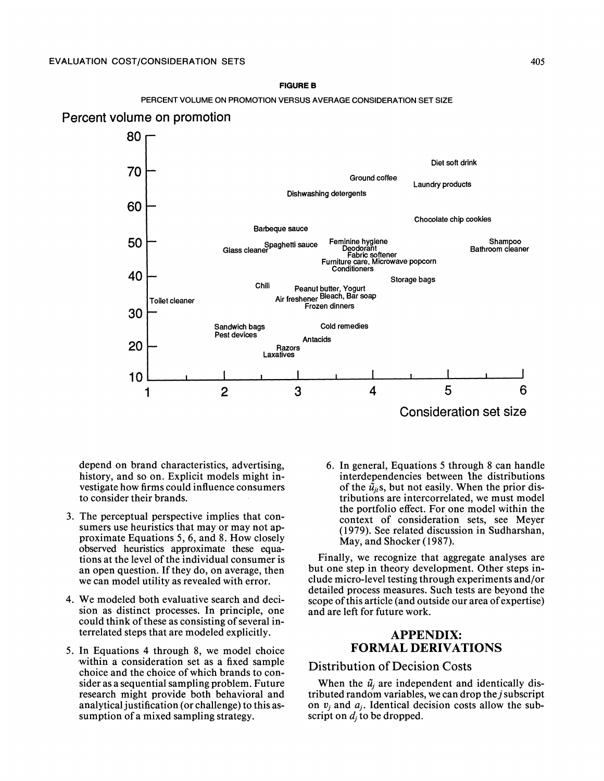#### **FIGURE B**

**PERCENT VOLUME ON PROMOTION VERSUS AVERAGE CONSIDERATION SET SIZE** 

### Percent volume on promotion



- sumers use heuristics that may or may not ap-<br>
proximate Equations 5, 6, and 8. How closely<br>
observed heuristics approximate these equa-<br>
May, and Shocker (1987).
- sion as distinct processes. In principle, one could think of these as consisting of several interrelated steps that are modeled explicitly. **APPENDIX:**
- 5. In Equations 4 through 8, we model choice<br>within a consideration set as a fixed sample<br> $\sum_{i}$ **ECRIVATIONS** within a consideration set as a fixed sample<br>choice and the choice of which brands to con-<br>sider as a sequential sampling problem. Future When the  $\tilde{u}_i$  are independent and sumption of a mixed sampling strategy.

depend on brand characteristics, advertising,  $\overline{6}$ . In general, Equations 5 through 8 can handle history, and so on. Explicit models might in-<br>interdependencies between the distributions history, and so on. Explicit models might in-<br>vestigate how firms could influence consumers of the  $\tilde{u}_i$ s, but not easily. When the prior disvestigate how firms could influence consumers of the  $\tilde{u}_i$ , but not easily. When the prior dis-<br>to consider their brands.<br>tributions are intercorrelated, we must model tributions are intercorrelated, we must model<br>the portfolio effect. For one model within the 3. The perceptual perspective implies that con-<br>sumers use heuristics that may or may not ap-<br> $(1979)$  See related discussion in Sudbarshan

tions at the level of the individual consumer is Finally, we recognize that aggregate analyses are an open question. If they do, on average, then but one step in theory development. Other steps inan open question. If they do, on average, then but one step in theory development. Other steps in-<br>we can model utility as revealed with error. clude micro-level testing through experiments and/or clude micro-level testing through experiments and/or detailed process measures. Such tests are beyond the 4. We modeled both evaluative search and deci-<br>sion as distinct processes. In principle, one and are left for future work.

sider as a sequential sampling problem. Future When the  $\tilde{u}_j$  are independent and identically dis-<br>research might provide both behavioral and tributed random variables, we can drop the *j* subscript research might provide both behavioral and tributed random variables, we can drop the *j* subscript analytical justification (or challenge) to this as- on  $v_i$  and  $a_i$ . Identical decision costs allow the subon  $v_j$  and  $a_j$ . Identical decision costs allow the subscript on  $d_i$  to be dropped.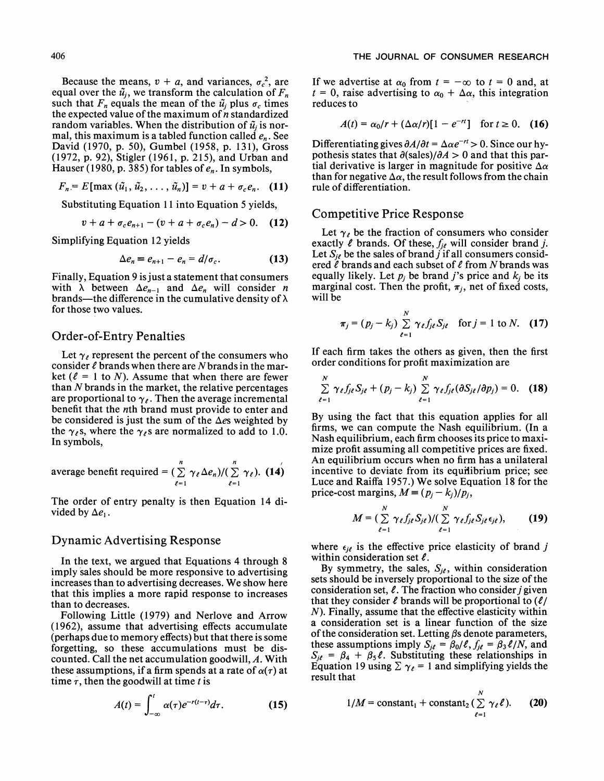Because the means,  $v + a$ , and variances,  $\sigma_c^2$ , are equal over the  $\tilde{u}_i$ , we transform the calculation of  $F_n$ such that  $F_n$  equals the mean of the  $\tilde{u}_i$  plus  $\sigma_c$  times the expected value of the maximum of  $n$  standardized random variables. When the distribution of  $\tilde{u}_i$  is normal, this maximum is a tabled function called  $e_n$ . See David (1970, p. 50), Gumbel (1958, p. 131), Gross (1972, p. 92), Stigler (1961, p. 215), and Urban and Hauser (1980, p. 385) for tables of  $e_n$ . In symbols,

$$
F_n = E[\max (\tilde{u}_1, \tilde{u}_2, \ldots, \tilde{u}_n)] = v + a + \sigma_c e_n. \quad (11)
$$

Substituting Equation 11 into Equation 5 yields,

$$
v + a + \sigma_c e_{n+1} - (v + a + \sigma_c e_n) - d > 0. \quad (12)
$$

Simplifying Equation 12 yields

$$
\Delta e_n = e_{n+1} - e_n = d/\sigma_c. \tag{13}
$$

Finally, Equation 9 is just a statement that consumers with  $\lambda$  between  $\Delta e_{n-1}$  and  $\Delta e_n$  will consider n brands—the difference in the cumulative density of  $\lambda$ for those two values.

#### Order-of-Entry Penalties

Let  $\gamma_{\ell}$  represent the percent of the consumers who consider  $\ell$  brands when there are N brands in the market ( $\ell = 1$  to N). Assume that when there are fewer than N brands in the market, the relative percentages are proportional to  $\gamma_{\ell}$ . Then the average incremental benefit that the nth brand must provide to enter and be considered is just the sum of the  $\Delta e$ s weighted by the  $\gamma_{\ell}$ s, where the  $\gamma_{\ell}$ s are normalized to add to 1.0. In symbols,

average benefit required = 
$$
(\sum_{\ell=1}^n \gamma_\ell \Delta e_n)/(\sum_{\ell=1}^n \gamma_\ell).
$$
 (14)

The order of entry penalty is then Equation 14 divided by  $\Delta e_1$ .

#### Dynamic Advertising Response

In the text, we argued that Equations 4 through 8 imply sales should be more responsive to advertising increases than to advertising decreases. We show here that this implies a more rapid response to increases than to decreases.

Following Little (1979) and Nerlove and Arrow ( 1962), assume that advertising effects accumulate (perhaps due to memory effects) but that there is some forgetting, so these accumulations must be discounted. Call the net accumulation goodwill, A. With these assumptions, if a firm spends at a rate of  $\alpha(\tau)$  at time  $\tau$ , then the goodwill at time t is

$$
A(t) = \int_{-\infty}^{t} \alpha(\tau) e^{-r(t-\tau)} d\tau.
$$
 (15)

If we advertise at  $\alpha_0$  from  $t = -\infty$  to  $t = 0$  and, at  $t = 0$ , raise advertising to  $\alpha_0 + \Delta \alpha$ , this integration reduces to

$$
A(t) = \alpha_0/r + (\Delta \alpha/r)[1 - e^{-rt}] \text{ for } t \ge 0. \quad (16)
$$

Differentiating gives  $\partial A/\partial t = \Delta \alpha e^{-rt} > 0$ . Since our hypothesis states that  $\partial$ (sales)/ $\partial A > 0$  and that this partial derivative is larger in magnitude for positive  $\Delta \alpha$ than for negative  $\Delta \alpha$ , the result follows from the chain rule of differentiation.

#### Competitive Price Response

Let  $\gamma_{\ell}$  be the fraction of consumers who consider exactly  $\ell$  brands. Of these,  $f_{j\ell}$  will consider brand j. Let  $S_{i\ell}$  be the sales of brand j if all consumers considered  $\ell$  brands and each subset of  $\ell$  from N brands was equally likely. Let  $p_i$  be brand j's price and  $k_i$  be its marginal cost. Then the profit,  $\pi_j$ , net of fixed costs, will be

$$
\pi_j = (p_j - k_j) \sum_{\ell=1}^N \gamma_\ell f_{j\ell} S_{j\ell} \quad \text{for } j = 1 \text{ to } N. \quad (17)
$$

If each firm takes the others as given, then the first order conditions for profit maximization are

$$
\sum_{\ell=1}^N \gamma_{\ell} f_{j\ell} S_{j\ell} + (p_j - k_j) \sum_{\ell=1}^N \gamma_{\ell} f_{j\ell} (\partial S_{j\ell} / \partial p_j) = 0. \quad (18)
$$

By using the fact that this equation applies for all firms, we can compute the Nash equilibrium. (In a Nash equilibrium, each firm chooses its price to maximize profit assuming all competitive prices are fixed. An equilibrium occurs when no firm has a unilateral incentive to deviate from its equilibrium price; see Luce and Raiffa 1957.) We solve Equation 18 for the price-cost margins,  $M = (p_i - k_j)/p_j$ ,

$$
M = (\sum_{\ell=1}^N \gamma_{\ell} f_{j\ell} S_{j\ell})/(\sum_{\ell=1}^N \gamma_{\ell} f_{j\ell} S_{j\ell} \epsilon_{j\ell}),
$$
 (19)

where  $\epsilon_{j\ell}$  is the effective price elasticity of brand j within consideration set  $\ell$ .

By symmetry, the sales,  $S_{j\ell}$ , within consideration sets should be inversely proportional to the size of the consideration set,  $\ell$ . The fraction who consider j given that they consider  $\ell$  brands will be proportional to  $(\ell)$  $N$ ). Finally, assume that the effective elasticity within a consideration set is a linear function of the size of the consideration set. Letting  $\beta s$  denote parameters, these assumptions imply  $S_{j\ell} = \beta_0/\ell$ ,  $f_{j\ell} = \beta_3 \ell/N$ , and  $S_{j\ell} = \beta_4 + \beta_5 \ell$ . Substituting these relationships in Equation 19 using  $\sum \gamma_{\ell} = 1$  and simplifying yields the result that

$$
1/M = \text{constant}_1 + \text{constant}_2 \left( \sum_{\ell=1}^N \gamma_{\ell} \ell \right). \tag{20}
$$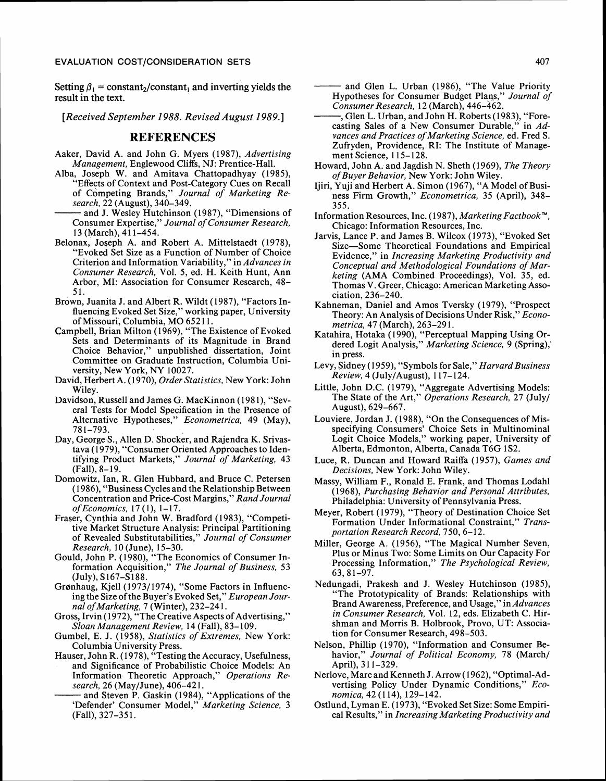Setting  $\beta_1$  = constant<sub>2</sub>/constant<sub>1</sub> and inverting yields the result in the text.

*[Received September 1988. Revised August 1989.1* 

#### **REFERENCES**

- Aaker, David A. and John G. Myers (1987), *Advertising Management,* Englewood Cliffs, NJ: Prentice-Hall.
- Alba, Joseph W. and Amitava Chattopadhyay (1985), "Effects of Context and Post-Category Cues on Recall of Competing Brands," *Journal of Marketing Research,* 22 (August), 340-349.
- and **J.** Wesley Hutchinson (1987), "Dimensions of Consumer Expertise," *Journal of Consumer Research,*  13 (March), 41 1-454.
- Belonax, Joseph A. and Robert A. Mittelstaedt (1978), "Evoked Set Size as a Function of Number of Choice Criterion and Information Variability," in *Advances in Consumer Research,* Vol. 5, ed. H. Keith Hunt, Ann Arbor, MI: Association for Consumer Research, 48- 51.
- Brown, Juanita J. and Albert R. Wildt (1987), "Factors Influencing Evoked Set Size," working paper, University of Missouri, Columbia, MO 652 1 1.
- Campbell, Brian Milton (1969), "The Existence of Evoked Sets and Determinants of its Magnitude in Brand Choice Behavior," unpublished dissertation, Joint Committee on Graduate Instruction, Columbia University, New York, NY 10027.
- David, Herbert A. (1970), *Order Statistics*, New York: John Wiley.
- Davidson, Russell and James G. MacKinnon (1981), "Several Tests for Model Specification in the Presence of Alternative Hypotheses," *Econometrica*, 49 (May), 78 1-793.
- Day, George S., Allen D. Shocker, and Rajendra K. Srivastava (1979), "Consumer Oriented Approaches to Identifying Product Markets," *Journal of Marketing,* 43 (Fall), 8-19.
- Domowitz, Ian, R. Glen Hubbard, and Bruce C. Petersen (1 986), "Business Cycles and the Relationship Between Concentration and Price-Cost Margins," *Rand Journal ofEconomics,* 17 (I), 1-17.
- Fraser, Cynthia and John W. Bradford (1983), "Competitive Market Structure Analysis: Principal Partitioning of Revealed Substitutabilities," *Journal of Consumer Research,* 10 (June), 15-30.
- Gould, John P. (1980), "The Economics of Consumer Information Acquisition," *The Journal of Business,* 53 (July), S 167-S 188.
- Grønhaug, Kjell (1973/1974), "Some Factors in Influencing the Size ofthe Buyer's Evoked Set," *European Journal ofMarketing,* 7 (Winter), 232-24 1.
- Gross, Irvin (1972), "The Creative Aspects of Advertising," *Sloan Management Review,* 14 (Fall), 83-109.
- Gumbel, E. J. (1958), *Statistics of Extremes,* New York: Columbia University Press.
- Hauser, John R. (1978), "Testing the Accuracy, Usefulness, and Significance of Probabilistic Choice Models: An Information Theoretic Approach," *Operations Research,* 26 (MaylJune), 406-42 1.
	- and Steven P. Gaskin (1984), "Applications of the 'Defender' Consumer Model," *Marketing Science,* 3 (Fall), 327-35 1.
- and Glen L. Urban (1986), "The Value Priority Hypotheses for Consumer Budget Plans," *Journal of Consumer Research,* 12 (March), 446-462.
- ,Glen L. Urban, and John H. Roberts (1983), "Forecasting Sales of a New Consumer Durable," in *Advances and Practices of Marketing Science,* ed. Fred S. Zufryden, Providence, RI: The Institute of Management Science, 1 15-128.
- Howard, John A. and Jagdish N. Sheth (1969), *The Theory ofBuyer Behavior,* New York: John Wiley.
- Ijiri, Yuji and Herbert A. Simon (1967), "A Model of Business Firm Growth," *Econometrica,* 35 (April), 348- 355.
- Information Resources, Inc. (1 987), *Marketing Factbook'",*  Chicago: Information Resources, Inc.
- Jarvis, Lance P, and James B. Wilcox (1973), "Evoked Set Size-Some Theoretical Foundations and Empirical Evidence," in *Increasing Marketing Productivity and Conceptual and Methodological Foundations of Marketing* (AMA Combined Proceedings), Vol. 35, ed. Thomas V. Greer, Chicago: American Marketing Association, 236-240.
- Kahneman, Daniel and Amos Tversky (1979), "Prospect Theory: An Analysis of Decisions Under Risk," *Econometrica,* 47 (March), 263-29 1.
- Katahira, Hotaka (1990), "Perceptual Mapping Using Ordered Logit Analysis," *Marketing Science,* 9 (Spring), in press.
- Levy, Sidney (1959), "Symbols for Sale," *Harvard Business Review,* 4 (July/August), 1 17- 124.
- Little, John D.C. (1979), "Aggregate Advertising Models: The State of the Art," *Operations Research,* 27 (July/ August), 629-667.
- Louviere, Jordan J. (1988), "On the Consequences of Misspecifying Consumers' Choice Sets in Multinominal Logit Choice Models," working paper, University of Alberta, Edmonton, Alberta, Canada T6G 1S2.
- Luce, R. Duncan and Howard Raiffa (1957), *Games and Decisions,* New York: John Wiley.
- Massy, William F., Ronald E. Frank, and Thomas Lodahl (1968), *Purchasing Behavior and Personal Attributes,*  Philadelphia: University of Pennsylvania Press.
- Meyer, Robert (1979), "Theory of Destination Choice Set Formation Under Informational Constraint," *Transportation Research Record,* 750,6-12.
- Miller, George A. (1956), "The Magical Number Seven, Plus or Minus Two: Some Limits on Our Capacity For Processing Information," *The Psychological Review,*  63,81-97.
- Nedungadi, Prakesh and J. Wesley Hutchinson (1985), "The Prototypicality of Brands: Relationships with Brand Awareness, Preference, and Usage," in *Advances in Consumer Research,* Vol. 12, eds. Elizabeth C. Hirshman and Morris B. Holbrook, Provo, UT: Association for Consumer Research, 498-503.
- Nelson, Phillip (1970), "Information and Consumer Behavior," *Journal of Political Economy,* 78 (March/ April), 311-329.
- Nerlove, Marc and Kenneth J. Arrow (1962), "Optimal-Advertising Policy Under Dynamic Conditions," *Economica,* 42 (1 14), 129-142.
- Ostlund, Lyman E. (1973), "Evoked Set Size: Some Empirical Results," in *Increasing Marketing Productivity and*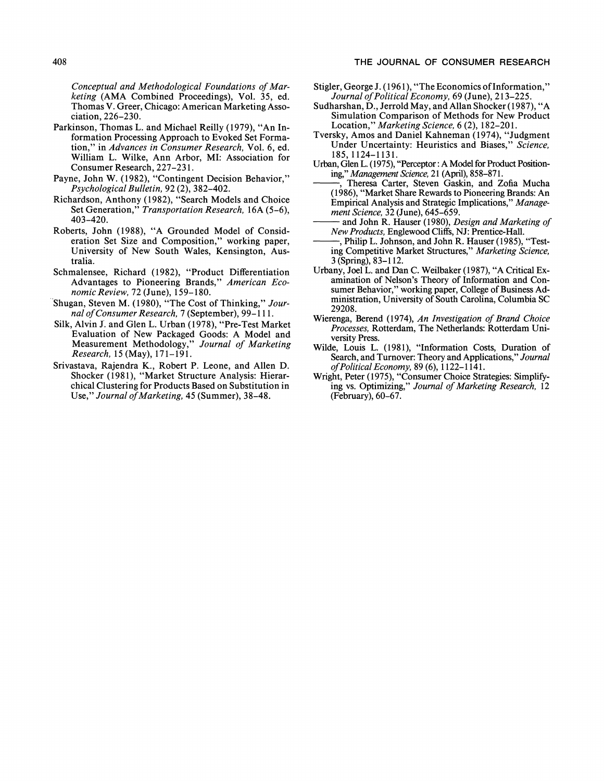#### THE JOURNAL OF CONSUMER RESEARCH

*Conceptual and Methodological Foundations of Marketing* (AMA Combined Proceedings), Vol. 35, ed. Thomas V. Greer, Chicago: American Marketing Association, 226-230.

- Parkinson, Thomas L. and Michael Reilly (1979), "An Information Processing Approach to Evoked Set Formation," in *Advances in Consumer Research,* Vol. 6, ed. William L. Wilke, Ann Arbor, MI: Association for Consumer Research, 227-23 1.
- Payne, John W. (1982), "Contingent Decision Behavior," *Psychological Bulletin,* 92 (2), 382-402.
- Richardson, Anthony (1982), "Search Models and Choice Set Generation," *Transportation Research,* 16A (5-6), 403-420.
- Roberts, John (1988), "A Grounded Model of Consideration Set Size and Composition," working paper, University of New South Wales, Kensington, Australia.
- Schmalensee, Richard (1982), "Product Differentiation Advantages to Pioneering Brands," *American Economic Review,* 72 (June), 159- 180.
- Shugan, Steven M. (1980), "The Cost of Thinking," *Journal of Consumer Research,* 7 (September), 99-1 1 1.
- Silk, Alvin J. and Glen L. Urban (1978), "Pre-Test Market Evaluation of New Packaged Goods: A Model and Measurement Methodology," *Journal of Marketing Research,* 15 (May), 17 1- 19 1.
- Srivastava, Rajendra K., Robert P. Leone, and Allen D. Shocker (1981), "Market Structure Analysis: Hierarchical Clustering for Products Based on Substitution in Use," *Journal ofMarketing,* 45 (Summer), 38-48.
- Stigler, George J. (1961), "The Economics of Information," *Journal of Political Economy,* 69 (June), 2 13-225.
- Sudharshan, D., Jerrold May, and Allan Shocker (1987), "A Simulation Comparison of Methods for New Product Location," *Marketing Science,* 6 (2), 182-20 1.
- Tversky, Amos and Daniel Kahneman (1974), "Judgment Under Uncertainty: Heuristics and Biases," *Science,*  185, 1124-1131.
- Urban, Glen L. (1975), "Perceptor : A Model for Product Position-<br>ing," Management Science, 21 (April), 858–871.
- Theresa Carter, Steven Gaskin, and Zofia Mucha (1986), "Market Share Rewards to Pioneering Brands: An Empirical Analysis and Strategic Implications," *Management Science,* 32 (June), 645-659.
- and John R. Hauser (1980), *Design and Marketing of*
- , Philip L. Johnson, and John R. Hauser (1985), "Testing Competitive Market Structures," *Marketing Science,*  3 (Spring), 83-1 12.
- Urbany, Joel L. and Dan C. Weilbaker (1987), "A Critical Examination of Nelson's Theory of Information and Consumer Behavior," working paper, College of Business Administration, University of South Carolina, Columbia SC 29208.
- Wierenga, Berend (1974), *An Investigation of Brand Choice Processes,* Rotterdam, The Netherlands: Rotterdam University Press.
- Wilde, Louis L. (1981), "Information Costs, Duration of Search, and Turnover: Theory and Applications," *Journal of Political Economy,* 89 (6), 1 122- 1 14 1.
- Wright, Peter (1975), "Consumer Choice Strategies: Simplifying vs. Optimizing," *Journal of Marketing Research,* 12 (February), 60-67.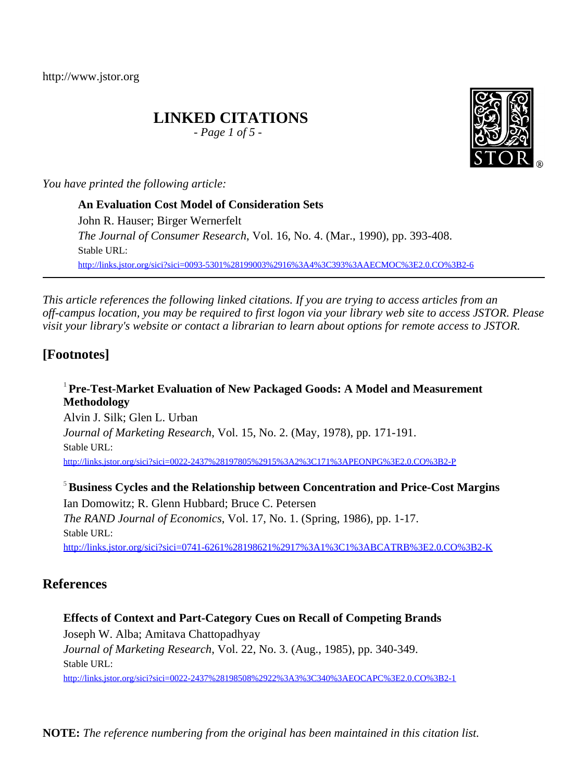# **LINKED CITATIONS**

*- Page 1 of 5 -*



*You have printed the following article:*

**An Evaluation Cost Model of Consideration Sets** John R. Hauser; Birger Wernerfelt *The Journal of Consumer Research*, Vol. 16, No. 4. (Mar., 1990), pp. 393-408. Stable URL: [http://links.jstor.org/sici?sici=0093-5301%28199003%2916%3A4%3C393%3AAECMOC%3E2.0.CO%3B2-6](http://links.jstor.org/sici?sici=0093-5301%28199003%2916%3A4%3C393%3AAECMOC%3E2.0.CO%3B2-6&origin=JSTOR-pdf)

*This article references the following linked citations. If you are trying to access articles from an off-campus location, you may be required to first logon via your library web site to access JSTOR. Please visit your library's website or contact a librarian to learn about options for remote access to JSTOR.*

## **[Footnotes]**

## **<sup>1</sup>Pre-Test-Market Evaluation of New Packaged Goods: A Model and Measurement Methodology**

Alvin J. Silk; Glen L. Urban *Journal of Marketing Research*, Vol. 15, No. 2. (May, 1978), pp. 171-191. Stable URL: [http://links.jstor.org/sici?sici=0022-2437%28197805%2915%3A2%3C171%3APEONPG%3E2.0.CO%3B2-P](http://links.jstor.org/sici?sici=0022-2437%28197805%2915%3A2%3C171%3APEONPG%3E2.0.CO%3B2-P&origin=JSTOR-pdf)

## **<sup>5</sup>Business Cycles and the Relationship between Concentration and Price-Cost Margins**

Ian Domowitz; R. Glenn Hubbard; Bruce C. Petersen *The RAND Journal of Economics*, Vol. 17, No. 1. (Spring, 1986), pp. 1-17. Stable URL:

[http://links.jstor.org/sici?sici=0741-6261%28198621%2917%3A1%3C1%3ABCATRB%3E2.0.CO%3B2-K](http://links.jstor.org/sici?sici=0741-6261%28198621%2917%3A1%3C1%3ABCATRB%3E2.0.CO%3B2-K&origin=JSTOR-pdf)

## **References**

## **Effects of Context and Part-Category Cues on Recall of Competing Brands**

Joseph W. Alba; Amitava Chattopadhyay *Journal of Marketing Research*, Vol. 22, No. 3. (Aug., 1985), pp. 340-349. Stable URL:

[http://links.jstor.org/sici?sici=0022-2437%28198508%2922%3A3%3C340%3AEOCAPC%3E2.0.CO%3B2-1](http://links.jstor.org/sici?sici=0022-2437%28198508%2922%3A3%3C340%3AEOCAPC%3E2.0.CO%3B2-1&origin=JSTOR-pdf)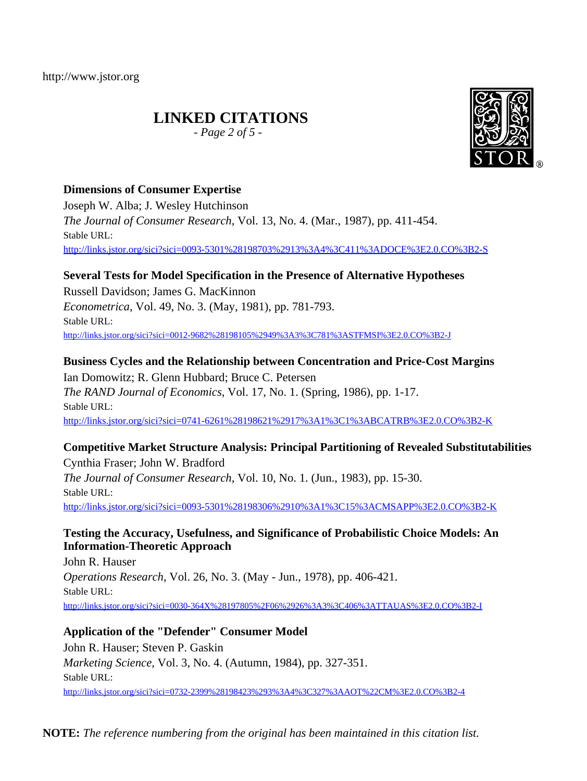# **LINKED CITATIONS**

*- Page 2 of 5 -*



## **Dimensions of Consumer Expertise**

Joseph W. Alba; J. Wesley Hutchinson *The Journal of Consumer Research*, Vol. 13, No. 4. (Mar., 1987), pp. 411-454. Stable URL: [http://links.jstor.org/sici?sici=0093-5301%28198703%2913%3A4%3C411%3ADOCE%3E2.0.CO%3B2-S](http://links.jstor.org/sici?sici=0093-5301%28198703%2913%3A4%3C411%3ADOCE%3E2.0.CO%3B2-S&origin=JSTOR-pdf)

## **Several Tests for Model Specification in the Presence of Alternative Hypotheses**

Russell Davidson; James G. MacKinnon *Econometrica*, Vol. 49, No. 3. (May, 1981), pp. 781-793. Stable URL: [http://links.jstor.org/sici?sici=0012-9682%28198105%2949%3A3%3C781%3ASTFMSI%3E2.0.CO%3B2-J](http://links.jstor.org/sici?sici=0012-9682%28198105%2949%3A3%3C781%3ASTFMSI%3E2.0.CO%3B2-J&origin=JSTOR-pdf)

## **Business Cycles and the Relationship between Concentration and Price-Cost Margins**

Ian Domowitz; R. Glenn Hubbard; Bruce C. Petersen *The RAND Journal of Economics*, Vol. 17, No. 1. (Spring, 1986), pp. 1-17. Stable URL: [http://links.jstor.org/sici?sici=0741-6261%28198621%2917%3A1%3C1%3ABCATRB%3E2.0.CO%3B2-K](http://links.jstor.org/sici?sici=0741-6261%28198621%2917%3A1%3C1%3ABCATRB%3E2.0.CO%3B2-K&origin=JSTOR-pdf)

## **Competitive Market Structure Analysis: Principal Partitioning of Revealed Substitutabilities**

Cynthia Fraser; John W. Bradford *The Journal of Consumer Research*, Vol. 10, No. 1. (Jun., 1983), pp. 15-30. Stable URL: [http://links.jstor.org/sici?sici=0093-5301%28198306%2910%3A1%3C15%3ACMSAPP%3E2.0.CO%3B2-K](http://links.jstor.org/sici?sici=0093-5301%28198306%2910%3A1%3C15%3ACMSAPP%3E2.0.CO%3B2-K&origin=JSTOR-pdf)

## **Testing the Accuracy, Usefulness, and Significance of Probabilistic Choice Models: An Information-Theoretic Approach**

John R. Hauser *Operations Research*, Vol. 26, No. 3. (May - Jun., 1978), pp. 406-421. Stable URL: [http://links.jstor.org/sici?sici=0030-364X%28197805%2F06%2926%3A3%3C406%3ATTAUAS%3E2.0.CO%3B2-I](http://links.jstor.org/sici?sici=0030-364X%28197805%2F06%2926%3A3%3C406%3ATTAUAS%3E2.0.CO%3B2-I&origin=JSTOR-pdf)

## **Application of the "Defender" Consumer Model**

John R. Hauser; Steven P. Gaskin *Marketing Science*, Vol. 3, No. 4. (Autumn, 1984), pp. 327-351. Stable URL: [http://links.jstor.org/sici?sici=0732-2399%28198423%293%3A4%3C327%3AAOT%22CM%3E2.0.CO%3B2-4](http://links.jstor.org/sici?sici=0732-2399%28198423%293%3A4%3C327%3AAOT%22CM%3E2.0.CO%3B2-4&origin=JSTOR-pdf)

**NOTE:** *The reference numbering from the original has been maintained in this citation list.*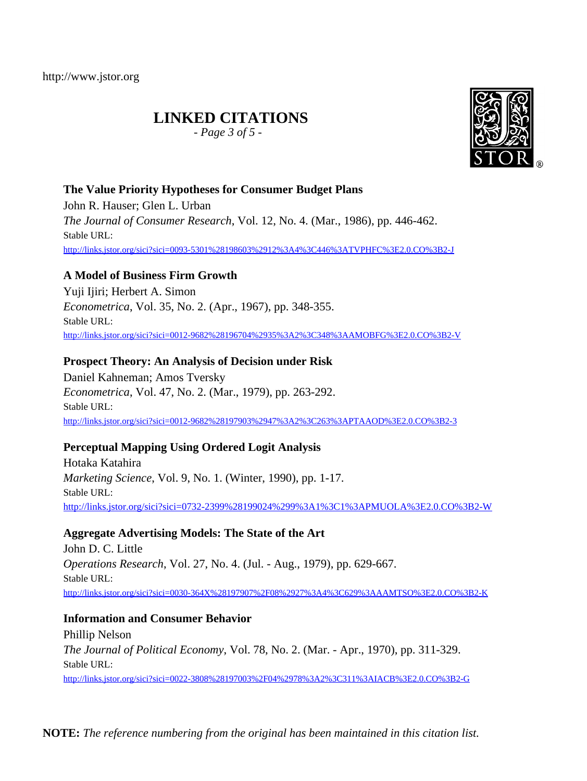# **LINKED CITATIONS**

*- Page 3 of 5 -*



## **The Value Priority Hypotheses for Consumer Budget Plans**

John R. Hauser; Glen L. Urban *The Journal of Consumer Research*, Vol. 12, No. 4. (Mar., 1986), pp. 446-462. Stable URL: [http://links.jstor.org/sici?sici=0093-5301%28198603%2912%3A4%3C446%3ATVPHFC%3E2.0.CO%3B2-J](http://links.jstor.org/sici?sici=0093-5301%28198603%2912%3A4%3C446%3ATVPHFC%3E2.0.CO%3B2-J&origin=JSTOR-pdf)

## **A Model of Business Firm Growth**

Yuji Ijiri; Herbert A. Simon *Econometrica*, Vol. 35, No. 2. (Apr., 1967), pp. 348-355. Stable URL: [http://links.jstor.org/sici?sici=0012-9682%28196704%2935%3A2%3C348%3AAMOBFG%3E2.0.CO%3B2-V](http://links.jstor.org/sici?sici=0012-9682%28196704%2935%3A2%3C348%3AAMOBFG%3E2.0.CO%3B2-V&origin=JSTOR-pdf)

## **Prospect Theory: An Analysis of Decision under Risk**

Daniel Kahneman; Amos Tversky *Econometrica*, Vol. 47, No. 2. (Mar., 1979), pp. 263-292. Stable URL: [http://links.jstor.org/sici?sici=0012-9682%28197903%2947%3A2%3C263%3APTAAOD%3E2.0.CO%3B2-3](http://links.jstor.org/sici?sici=0012-9682%28197903%2947%3A2%3C263%3APTAAOD%3E2.0.CO%3B2-3&origin=JSTOR-pdf)

## **Perceptual Mapping Using Ordered Logit Analysis**

Hotaka Katahira *Marketing Science*, Vol. 9, No. 1. (Winter, 1990), pp. 1-17. Stable URL: [http://links.jstor.org/sici?sici=0732-2399%28199024%299%3A1%3C1%3APMUOLA%3E2.0.CO%3B2-W](http://links.jstor.org/sici?sici=0732-2399%28199024%299%3A1%3C1%3APMUOLA%3E2.0.CO%3B2-W&origin=JSTOR-pdf)

## **Aggregate Advertising Models: The State of the Art**

John D. C. Little *Operations Research*, Vol. 27, No. 4. (Jul. - Aug., 1979), pp. 629-667. Stable URL: [http://links.jstor.org/sici?sici=0030-364X%28197907%2F08%2927%3A4%3C629%3AAAMTSO%3E2.0.CO%3B2-K](http://links.jstor.org/sici?sici=0030-364X%28197907%2F08%2927%3A4%3C629%3AAAMTSO%3E2.0.CO%3B2-K&origin=JSTOR-pdf)

### **Information and Consumer Behavior**

Phillip Nelson *The Journal of Political Economy*, Vol. 78, No. 2. (Mar. - Apr., 1970), pp. 311-329. Stable URL:

[http://links.jstor.org/sici?sici=0022-3808%28197003%2F04%2978%3A2%3C311%3AIACB%3E2.0.CO%3B2-G](http://links.jstor.org/sici?sici=0022-3808%28197003%2F04%2978%3A2%3C311%3AIACB%3E2.0.CO%3B2-G&origin=JSTOR-pdf)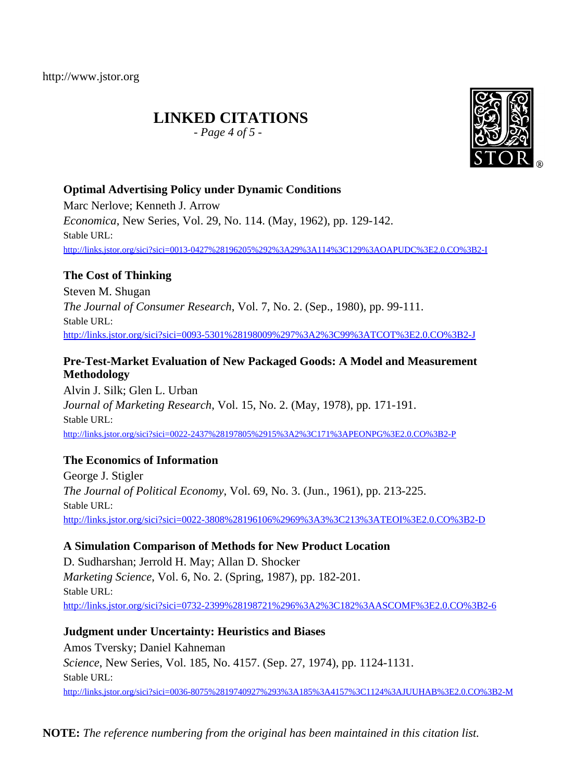# **LINKED CITATIONS**

*- Page 4 of 5 -*



## **Optimal Advertising Policy under Dynamic Conditions**

Marc Nerlove; Kenneth J. Arrow *Economica*, New Series, Vol. 29, No. 114. (May, 1962), pp. 129-142. Stable URL: [http://links.jstor.org/sici?sici=0013-0427%28196205%292%3A29%3A114%3C129%3AOAPUDC%3E2.0.CO%3B2-I](http://links.jstor.org/sici?sici=0013-0427%28196205%292%3A29%3A114%3C129%3AOAPUDC%3E2.0.CO%3B2-I&origin=JSTOR-pdf)

## **The Cost of Thinking**

Steven M. Shugan *The Journal of Consumer Research*, Vol. 7, No. 2. (Sep., 1980), pp. 99-111. Stable URL: [http://links.jstor.org/sici?sici=0093-5301%28198009%297%3A2%3C99%3ATCOT%3E2.0.CO%3B2-J](http://links.jstor.org/sici?sici=0093-5301%28198009%297%3A2%3C99%3ATCOT%3E2.0.CO%3B2-J&origin=JSTOR-pdf)

## **Pre-Test-Market Evaluation of New Packaged Goods: A Model and Measurement Methodology**

Alvin J. Silk; Glen L. Urban *Journal of Marketing Research*, Vol. 15, No. 2. (May, 1978), pp. 171-191. Stable URL: [http://links.jstor.org/sici?sici=0022-2437%28197805%2915%3A2%3C171%3APEONPG%3E2.0.CO%3B2-P](http://links.jstor.org/sici?sici=0022-2437%28197805%2915%3A2%3C171%3APEONPG%3E2.0.CO%3B2-P&origin=JSTOR-pdf)

## **The Economics of Information**

George J. Stigler *The Journal of Political Economy*, Vol. 69, No. 3. (Jun., 1961), pp. 213-225. Stable URL: [http://links.jstor.org/sici?sici=0022-3808%28196106%2969%3A3%3C213%3ATEOI%3E2.0.CO%3B2-D](http://links.jstor.org/sici?sici=0022-3808%28196106%2969%3A3%3C213%3ATEOI%3E2.0.CO%3B2-D&origin=JSTOR-pdf)

## **A Simulation Comparison of Methods for New Product Location**

D. Sudharshan; Jerrold H. May; Allan D. Shocker *Marketing Science*, Vol. 6, No. 2. (Spring, 1987), pp. 182-201. Stable URL: [http://links.jstor.org/sici?sici=0732-2399%28198721%296%3A2%3C182%3AASCOMF%3E2.0.CO%3B2-6](http://links.jstor.org/sici?sici=0732-2399%28198721%296%3A2%3C182%3AASCOMF%3E2.0.CO%3B2-6&origin=JSTOR-pdf)

## **Judgment under Uncertainty: Heuristics and Biases**

Amos Tversky; Daniel Kahneman *Science*, New Series, Vol. 185, No. 4157. (Sep. 27, 1974), pp. 1124-1131. Stable URL: [http://links.jstor.org/sici?sici=0036-8075%2819740927%293%3A185%3A4157%3C1124%3AJUUHAB%3E2.0.CO%3B2-M](http://links.jstor.org/sici?sici=0036-8075%2819740927%293%3A185%3A4157%3C1124%3AJUUHAB%3E2.0.CO%3B2-M&origin=JSTOR-pdf)

**NOTE:** *The reference numbering from the original has been maintained in this citation list.*